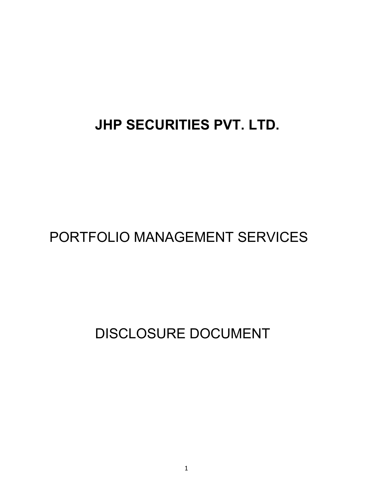# **JHP SECURITIES PVT. LTD.**

## PORTFOLIO MANAGEMENT SERVICES

DISCLOSURE DOCUMENT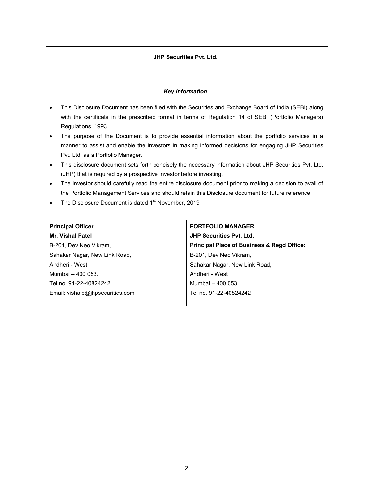## **JHP Securities Pvt. Ltd.**

#### *Key Information*

- This Disclosure Document has been filed with the Securities and Exchange Board of India (SEBI) along with the certificate in the prescribed format in terms of Regulation 14 of SEBI (Portfolio Managers) Regulations, 1993.
- The purpose of the Document is to provide essential information about the portfolio services in a manner to assist and enable the investors in making informed decisions for engaging JHP Securities Pvt. Ltd. as a Portfolio Manager.
- This disclosure document sets forth concisely the necessary information about JHP Securities Pvt. Ltd. (JHP) that is required by a prospective investor before investing.
- The investor should carefully read the entire disclosure document prior to making a decision to avail of the Portfolio Management Services and should retain this Disclosure document for future reference.
- The Disclosure Document is dated 1<sup>st</sup> November, 2019

## **Principal Officer**

**Mr. Vishal Patel** B-201, Dev Neo Vikram, Sahakar Nagar, New Link Road, Andheri - West Mumbai – 400 053. Tel no. 91-22-40824242 Email: vishalp@jhpsecurities.com **PORTFOLIO MANAGER JHP Securities Pvt. Ltd. Principal Place of Business & Regd Office:** B-201, Dev Neo Vikram, Sahakar Nagar, New Link Road, Andheri - West Mumbai – 400 053. Tel no. 91-22-40824242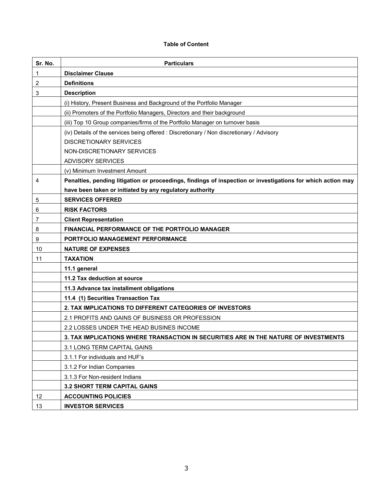#### **Table of Content**

| Sr. No. | <b>Particulars</b>                                                                                          |
|---------|-------------------------------------------------------------------------------------------------------------|
| 1       | <b>Disclaimer Clause</b>                                                                                    |
| 2       | <b>Definitions</b>                                                                                          |
| 3       | <b>Description</b>                                                                                          |
|         | (i) History, Present Business and Background of the Portfolio Manager                                       |
|         | (ii) Promoters of the Portfolio Managers, Directors and their background                                    |
|         | (iii) Top 10 Group companies/firms of the Portfolio Manager on turnover basis                               |
|         | (iv) Details of the services being offered : Discretionary / Non discretionary / Advisory                   |
|         | <b>DISCRETIONARY SERVICES</b>                                                                               |
|         | NON-DISCRETIONARY SERVICES                                                                                  |
|         | <b>ADVISORY SERVICES</b>                                                                                    |
|         | (v) Minimum Investment Amount                                                                               |
| 4       | Penalties, pending litigation or proceedings, findings of inspection or investigations for which action may |
|         | have been taken or initiated by any regulatory authority                                                    |
| 5       | <b>SERVICES OFFERED</b>                                                                                     |
| 6       | <b>RISK FACTORS</b>                                                                                         |
| 7       | <b>Client Representation</b>                                                                                |
| 8       | <b>FINANCIAL PERFORMANCE OF THE PORTFOLIO MANAGER</b>                                                       |
| 9       | PORTFOLIO MANAGEMENT PERFORMANCE                                                                            |
| 10      | <b>NATURE OF EXPENSES</b>                                                                                   |
| 11      | <b>TAXATION</b>                                                                                             |
|         | 11.1 general                                                                                                |
|         | 11.2 Tax deduction at source                                                                                |
|         | 11.3 Advance tax installment obligations                                                                    |
|         | 11.4 (1) Securities Transaction Tax                                                                         |
|         | 2. TAX IMPLICATIONS TO DIFFERENT CATEGORIES OF INVESTORS                                                    |
|         | 2.1 PROFITS AND GAINS OF BUSINESS OR PROFESSION                                                             |
|         | 2.2 LOSSES UNDER THE HEAD BUSINES INCOME                                                                    |
|         | 3. TAX IMPLICATIONS WHERE TRANSACTION IN SECURITIES ARE IN THE NATURE OF INVESTMENTS                        |
|         | 3.1 LONG TERM CAPITAL GAINS                                                                                 |
|         | 3.1.1 For individuals and HUF's                                                                             |
|         | 3.1.2 For Indian Companies                                                                                  |
|         | 3.1.3 For Non-resident Indians                                                                              |
|         | 3.2 SHORT TERM CAPITAL GAINS                                                                                |
| 12      | <b>ACCOUNTING POLICIES</b>                                                                                  |
| 13      | <b>INVESTOR SERVICES</b>                                                                                    |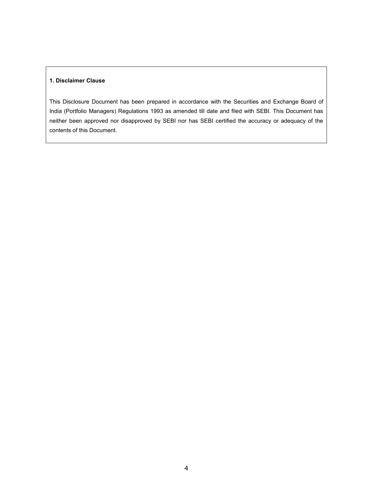## **1. Disclaimer Clause**

This Disclosure Document has been prepared in accordance with the Securities and Exchange Board of India (Portfolio Managers) Regulations 1993 as amended till date and filed with SEBI. This Document has neither been approved nor disapproved by SEBI nor has SEBI certified the accuracy or adequacy of the contents of this Document.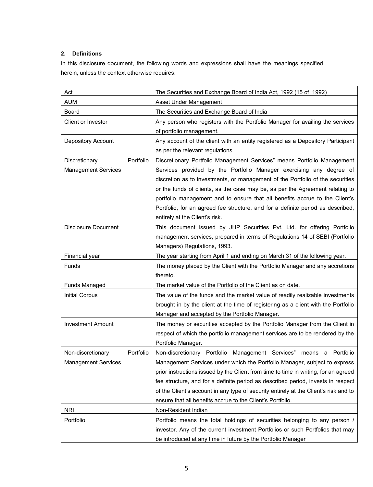## **2. Definitions**

In this disclosure document, the following words and expressions shall have the meanings specified herein, unless the context otherwise requires:

| Act<br><b>AUM</b>              | The Securities and Exchange Board of India Act, 1992 (15 of 1992)<br>Asset Under Management |
|--------------------------------|---------------------------------------------------------------------------------------------|
| Board                          | The Securities and Exchange Board of India                                                  |
| Client or Investor             |                                                                                             |
|                                | Any person who registers with the Portfolio Manager for availing the services               |
|                                | of portfolio management.                                                                    |
| Depository Account             | Any account of the client with an entity registered as a Depository Participant             |
|                                | as per the relevant regulations                                                             |
| Portfolio<br>Discretionary     | Discretionary Portfolio Management Services" means Portfolio Management                     |
| <b>Management Services</b>     | Services provided by the Portfolio Manager exercising any degree of                         |
|                                | discretion as to investments, or management of the Portfolio of the securities              |
|                                | or the funds of clients, as the case may be, as per the Agreement relating to               |
|                                | portfolio management and to ensure that all benefits accrue to the Client's                 |
|                                | Portfolio, for an agreed fee structure, and for a definite period as described,             |
|                                | entirely at the Client's risk.                                                              |
| <b>Disclosure Document</b>     | This document issued by JHP Securities Pvt. Ltd. for offering Portfolio                     |
|                                | management services, prepared in terms of Regulations 14 of SEBI (Portfolio                 |
|                                | Managers) Regulations, 1993.                                                                |
| Financial year                 | The year starting from April 1 and ending on March 31 of the following year.                |
| Funds                          | The money placed by the Client with the Portfolio Manager and any accretions                |
|                                | thereto.                                                                                    |
| Funds Managed                  | The market value of the Portfolio of the Client as on date.                                 |
| <b>Initial Corpus</b>          | The value of the funds and the market value of readily realizable investments               |
|                                | brought in by the client at the time of registering as a client with the Portfolio          |
|                                | Manager and accepted by the Portfolio Manager.                                              |
| <b>Investment Amount</b>       | The money or securities accepted by the Portfolio Manager from the Client in                |
|                                | respect of which the portfolio management services are to be rendered by the                |
|                                | Portfolio Manager.                                                                          |
| Non-discretionary<br>Portfolio | Non-discretionary Portfolio Management Services"<br>means a Portfolio                       |
| <b>Management Services</b>     | Management Services under which the Portfolio Manager, subject to express                   |
|                                | prior instructions issued by the Client from time to time in writing, for an agreed         |
|                                | fee structure, and for a definite period as described period, invests in respect            |
|                                | of the Client's account in any type of security entirely at the Client's risk and to        |
|                                | ensure that all benefits accrue to the Client's Portfolio.                                  |
| <b>NRI</b>                     | Non-Resident Indian                                                                         |
| Portfolio                      | Portfolio means the total holdings of securities belonging to any person /                  |
|                                | investor. Any of the current investment Portfolios or such Portfolios that may              |
|                                | be introduced at any time in future by the Portfolio Manager                                |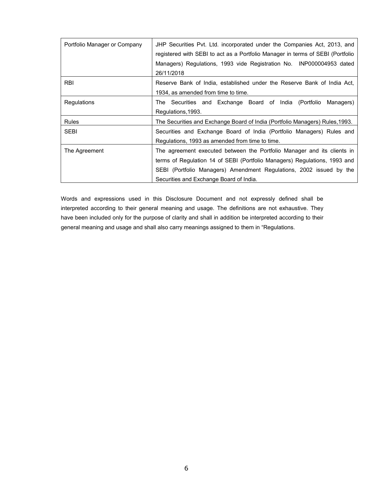| Portfolio Manager or Company | JHP Securities Pvt. Ltd. incorporated under the Companies Act, 2013, and<br>registered with SEBI to act as a Portfolio Manager in terms of SEBI (Portfolio<br>Managers) Regulations, 1993 vide Registration No. INP000004953 dated<br>26/11/2018                       |  |  |
|------------------------------|------------------------------------------------------------------------------------------------------------------------------------------------------------------------------------------------------------------------------------------------------------------------|--|--|
| <b>RBI</b>                   | Reserve Bank of India, established under the Reserve Bank of India Act,<br>1934, as amended from time to time.                                                                                                                                                         |  |  |
| Regulations                  | The Securities and Exchange Board of India (Portfolio Managers)<br>Regulations, 1993.                                                                                                                                                                                  |  |  |
| <b>Rules</b>                 | The Securities and Exchange Board of India (Portfolio Managers) Rules, 1993.                                                                                                                                                                                           |  |  |
| <b>SEBI</b>                  | Securities and Exchange Board of India (Portfolio Managers) Rules and<br>Regulations, 1993 as amended from time to time.                                                                                                                                               |  |  |
| The Agreement                | The agreement executed between the Portfolio Manager and its clients in<br>terms of Regulation 14 of SEBI (Portfolio Managers) Regulations, 1993 and<br>SEBI (Portfolio Managers) Amendment Regulations, 2002 issued by the<br>Securities and Exchange Board of India. |  |  |

Words and expressions used in this Disclosure Document and not expressly defined shall be interpreted according to their general meaning and usage. The definitions are not exhaustive. They have been included only for the purpose of clarity and shall in addition be interpreted according to their general meaning and usage and shall also carry meanings assigned to them in "Regulations.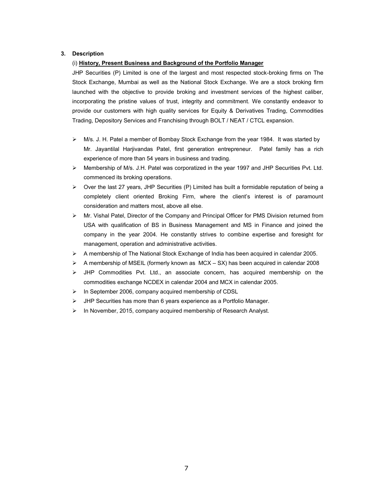## **3. Description**

## (i) **History, Present Business and Background of the Portfolio Manager**

JHP Securities (P) Limited is one of the largest and most respected stock-broking firms on The Stock Exchange, Mumbai as well as the National Stock Exchange. We are a stock broking firm launched with the objective to provide broking and investment services of the highest caliber, incorporating the pristine values of trust, integrity and commitment. We constantly endeavor to provide our customers with high quality services for Equity & Derivatives Trading, Commodities Trading, Depository Services and Franchising through BOLT / NEAT / CTCL expansion.

- M/s. J. H. Patel a member of Bombay Stock Exchange from the year 1984. It was started by Mr. Jayantilal Harjivandas Patel, first generation entrepreneur. Patel family has a rich experience of more than 54 years in business and trading.
- Membership of M/s. J.H. Patel was corporatized in the year 1997 and JHP Securities Pvt. Ltd. commenced its broking operations.
- $\triangleright$  Over the last 27 years, JHP Securities (P) Limited has built a formidable reputation of being a completely client oriented Broking Firm, where the client's interest is of paramount consideration and matters most, above all else.
- $\triangleright$  Mr. Vishal Patel, Director of the Company and Principal Officer for PMS Division returned from USA with qualification of BS in Business Management and MS in Finance and joined the company in the year 2004. He constantly strives to combine expertise and foresight for management, operation and administrative activities.
- $\triangleright$  A membership of The National Stock Exchange of India has been acquired in calendar 2005.
- A membership of MSEIL (formerly known as MCX SX) has been acquired in calendar 2008
- $\triangleright$  JHP Commodities Pvt. Ltd., an associate concern, has acquired membership on the commodities exchange NCDEX in calendar 2004 and MCX in calendar 2005.
- $\triangleright$  In September 2006, company acquired membership of CDSL
- > JHP Securities has more than 6 years experience as a Portfolio Manager.
- $\triangleright$  In November, 2015, company acquired membership of Research Analyst.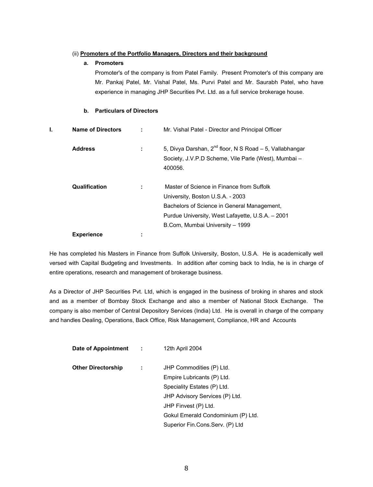## (ii) **Promoters of the Portfolio Managers, Directors and their background**

## **a. Promoters**

Promoter's of the company is from Patel Family. Present Promoter's of this company are Mr. Pankaj Patel, Mr. Vishal Patel, Ms. Purvi Patel and Mr. Saurabh Patel, who have experience in managing JHP Securities Pvt. Ltd. as a full service brokerage house.

## **b. Particulars of Directors**

| Ι. | <b>Name of Directors</b> |   | Mr. Vishal Patel - Director and Principal Officer                                                                                                                                                                   |
|----|--------------------------|---|---------------------------------------------------------------------------------------------------------------------------------------------------------------------------------------------------------------------|
|    | <b>Address</b>           |   | 5, Divya Darshan, $2^{nd}$ floor, N S Road – 5, Vallabhangar<br>Society, J.V.P.D Scheme, Vile Parle (West), Mumbai -<br>400056.                                                                                     |
|    | Qualification            |   | Master of Science in Finance from Suffolk<br>University, Boston U.S.A. - 2003<br>Bachelors of Science in General Management,<br>Purdue University, West Lafayette, U.S.A. - 2001<br>B.Com, Mumbai University - 1999 |
|    | <b>Experience</b>        | ٠ |                                                                                                                                                                                                                     |

He has completed his Masters in Finance from Suffolk University, Boston, U.S.A. He is academically well versed with Capital Budgeting and Investments. In addition after coming back to India, he is in charge of entire operations, research and management of brokerage business.

As a Director of JHP Securities Pvt. Ltd, which is engaged in the business of broking in shares and stock and as a member of Bombay Stock Exchange and also a member of National Stock Exchange. The company is also member of Central Depository Services (India) Ltd. He is overall in charge of the company and handles Dealing, Operations, Back Office, Risk Management, Compliance, HR and Accounts

| Date of Appointment :     | 12th April 2004                    |
|---------------------------|------------------------------------|
| <b>Other Directorship</b> | JHP Commodities (P) Ltd.           |
|                           | Empire Lubricants (P) Ltd.         |
|                           | Speciality Estates (P) Ltd.        |
|                           | JHP Advisory Services (P) Ltd.     |
|                           | JHP Finvest (P) Ltd.               |
|                           | Gokul Emerald Condominium (P) Ltd. |
|                           | Superior Fin.Cons.Serv. (P) Ltd    |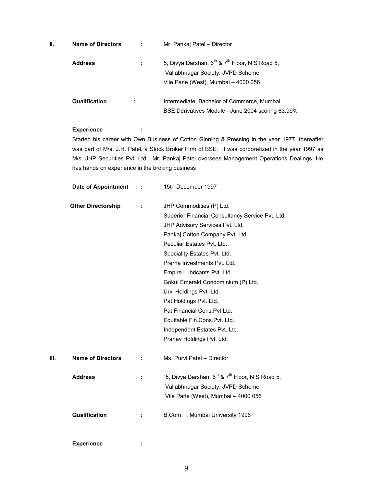| ΙΙ. | <b>Name of Directors</b> | -11 | Mr. Pankaj Patel – Director                                                                                                                           |
|-----|--------------------------|-----|-------------------------------------------------------------------------------------------------------------------------------------------------------|
|     | <b>Address</b>           |     | 5, Divya Darshan, 6 <sup>th</sup> & 7 <sup>th</sup> Floor, N S Road 5,<br>Vallabhnagar Society, JVPD Scheme,<br>Vile Parle (West), Mumbai - 4000 056. |
|     | <b>Qualification</b>     | ٠   | Intermediate, Bachelor of Commerce, Mumbai.<br>BSE Derivatives Module - June 2004 scoring 83.99%                                                      |

## **Experience :**

Started his career with Own Business of Cotton Ginning & Pressing in the year 1977, thereafter was part of M/s. J.H. Patel, a Stock Broker Firm of BSE. It was corporatized in the year 1997 as M/s. JHP Securities Pvt. Ltd. Mr. Pankaj Patel oversees Management Operations Dealings. He has hands on experience in the broking business

|    | <b>Date of Appointment</b> |   | 15th December 1997                                                      |
|----|----------------------------|---|-------------------------------------------------------------------------|
|    | <b>Other Directorship</b>  | ÷ | JHP Commodities (P) Ltd.                                                |
|    |                            |   | Superior Financial Consultancy Service Pvt. Ltd.                        |
|    |                            |   | JHP Advisory Services Pvt. Ltd.                                         |
|    |                            |   | Pankaj Cotton Company Pvt. Ltd.                                         |
|    |                            |   | Peculiar Estates Pvt. Ltd.                                              |
|    |                            |   | Speciality Estates Pvt. Ltd.                                            |
|    |                            |   | Prerna Investments Pvt. Ltd.                                            |
|    |                            |   | Empire Lubricants Pvt. Ltd.                                             |
|    |                            |   | Gokul Emerald Condominium (P) Ltd.                                      |
|    |                            |   | Urvi Holdings Pvt. Ltd.                                                 |
|    |                            |   | Pat Holdings Pvt. Ltd.                                                  |
|    |                            |   | Pat Financial Cons. Pvt. Ltd.                                           |
|    |                            |   | Equitable Fin.Cons.Pvt. Ltd.                                            |
|    |                            |   | Independent Estates Pvt. Ltd.                                           |
|    |                            |   | Pranav Holdings Pvt. Ltd.                                               |
| Ш. | <b>Name of Directors</b>   |   | Ms. Purvi Patel - Director                                              |
|    | <b>Address</b>             |   | "5, Divya Darshan, 6 <sup>th</sup> & 7 <sup>th</sup> Floor, N S Road 5, |
|    |                            |   | Vallabhnagar Society, JVPD Scheme,                                      |
|    |                            |   | Vile Parle (West), Mumbai - 4000 056                                    |
|    | Qualification              | ÷ | B.Com , Mumbai University 1996                                          |
|    | <b>Experience</b>          | ÷ |                                                                         |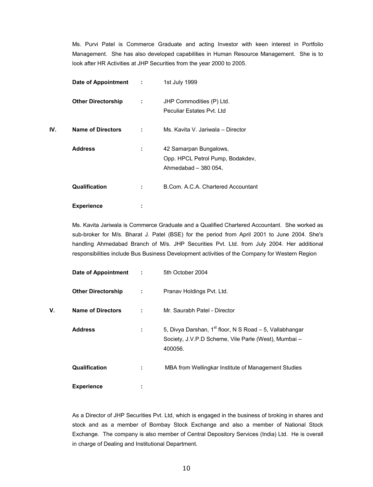Ms. Purvi Patel is Commerce Graduate and acting Investor with keen interest in Portfolio Management. She has also developed capabilities in Human Resource Management. She is to look after HR Activities at JHP Securities from the year 2000 to 2005.

|     | Date of Appointment :     |        | 1st July 1999                                                                      |
|-----|---------------------------|--------|------------------------------------------------------------------------------------|
|     | <b>Other Directorship</b> | ÷      | JHP Commodities (P) Ltd.<br>Peculiar Estates Pyt. Ltd                              |
| IV. | <b>Name of Directors</b>  | ÷      | Ms. Kavita V. Jariwala - Director                                                  |
|     | <b>Address</b>            | ÷      | 42 Samarpan Bungalows,<br>Opp. HPCL Petrol Pump, Bodakdev,<br>Ahmedabad - 380 054. |
|     | <b>Qualification</b>      |        | B.Com. A.C.A. Chartered Accountant                                                 |
|     | <b>Experience</b>         | ٠<br>٠ |                                                                                    |

Ms. Kavita Jariwala is Commerce Graduate and a Qualified Chartered Accountant. She worked as sub-broker for M/s. Bharat J. Patel (BSE) for the period from April 2001 to June 2004. She's handling Ahmedabad Branch of M/s. JHP Securities Pvt. Ltd. from July 2004. Her additional responsibilities include Bus Business Development activities of the Company for Western Region

|    | <b>Date of Appointment</b> |   | 5th October 2004                                                                                                                       |
|----|----------------------------|---|----------------------------------------------------------------------------------------------------------------------------------------|
|    | <b>Other Directorship</b>  | ÷ | Pranav Holdings Pvt. Ltd.                                                                                                              |
| V. | <b>Name of Directors</b>   |   | Mr. Saurabh Patel - Director                                                                                                           |
|    | <b>Address</b>             | ÷ | 5, Divya Darshan, 1 <sup>st</sup> floor, N S Road - 5, Vallabhangar<br>Society, J.V.P.D Scheme, Vile Parle (West), Mumbai -<br>400056. |
|    | <b>Qualification</b>       | ÷ | MBA from Wellingkar Institute of Management Studies                                                                                    |
|    | <b>Experience</b>          |   |                                                                                                                                        |

As a Director of JHP Securities Pvt. Ltd, which is engaged in the business of broking in shares and stock and as a member of Bombay Stock Exchange and also a member of National Stock Exchange. The company is also member of Central Depository Services (India) Ltd. He is overall in charge of Dealing and Institutional Department.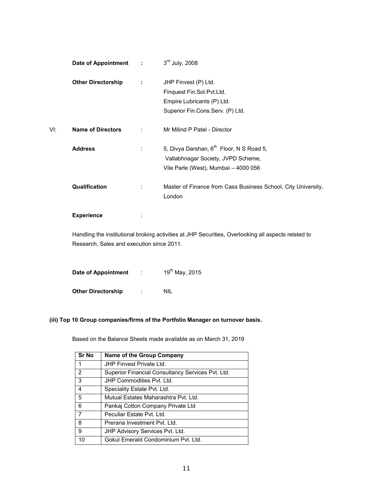|     | Date of Appointment :     |    | $3rd$ July, 2008                                              |
|-----|---------------------------|----|---------------------------------------------------------------|
|     | <b>Other Directorship</b> | ÷  | JHP Finvest (P) Ltd.                                          |
|     |                           |    | Finquest Fin.Sol.Pvt.Ltd.                                     |
|     |                           |    | Empire Lubricants (P) Ltd.                                    |
|     |                           |    | Superior Fin.Cons.Serv. (P) Ltd.                              |
| VI: | <b>Name of Directors</b>  | ٠. | Mr Milind P Patel - Director                                  |
|     | <b>Address</b>            | ÷  | 5, Divya Darshan, 6 <sup>th</sup> Floor, N S Road 5,          |
|     |                           |    | Vallabhnagar Society, JVPD Scheme,                            |
|     |                           |    | Vile Parle (West), Mumbai - 4000 056                          |
|     | <b>Qualification</b>      | ÷  | Master of Finance from Cass Business School, City University, |
|     |                           |    | London                                                        |
|     | <b>Experience</b>         | ÷  |                                                               |

Handling the institutional broking activities at JHP Securities, Overlooking all aspects related to Research, Sales and execution since 2011.

| Date of Appointment       | ٠ | 19 <sup>th</sup> May, 2015 |
|---------------------------|---|----------------------------|
| <b>Other Directorship</b> | ٠ | NII                        |

## **(iii) Top 10 Group companies/firms of the Portfolio Manager on turnover basis.**

Based on the Balance Sheets made available as on March 31, 2019

| <b>Sr No</b>   | Name of the Group Company                         |
|----------------|---------------------------------------------------|
| 1              | JHP Finvest Private Ltd.                          |
| 2              | Superior Financial Consultancy Services Pvt. Ltd. |
| 3              | JHP Commodities Pvt. Ltd.                         |
| 4              | Speciality Estate Pvt. Ltd.                       |
| 5              | Mutual Estates Maharashtra Pyt. Ltd.              |
| 6              | Pankaj Cotton Company Private Ltd                 |
| $\overline{7}$ | Peculiar Estate Pvt. Ltd.                         |
| 8              | Prerana Investment Pvt. Ltd.                      |
| 9              | JHP Advisory Services Pvt. Ltd.                   |
| 10             | Gokul Emerald Condominium Pyt. Ltd.               |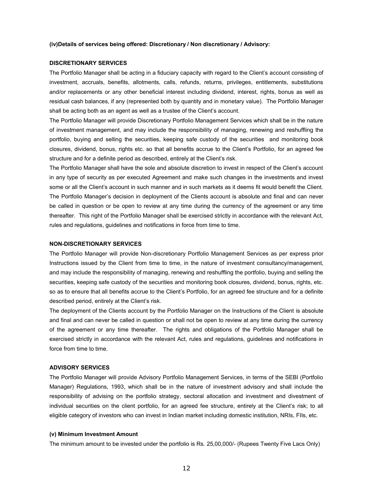#### **(iv)Details of services being offered: Discretionary / Non discretionary / Advisory:**

#### **DISCRETIONARY SERVICES**

The Portfolio Manager shall be acting in a fiduciary capacity with regard to the Client's account consisting of investment, accruals, benefits, allotments, calls, refunds, returns, privileges, entitlements, substitutions and/or replacements or any other beneficial interest including dividend, interest, rights, bonus as well as residual cash balances, if any (represented both by quantity and in monetary value). The Portfolio Manager shall be acting both as an agent as well as a trustee of the Client's account.

The Portfolio Manager will provide Discretionary Portfolio Management Services which shall be in the nature of investment management, and may include the responsibility of managing, renewing and reshuffling the portfolio, buying and selling the securities, keeping safe custody of the securities and monitoring book closures, dividend, bonus, rights etc. so that all benefits accrue to the Client's Portfolio, for an agreed fee structure and for a definite period as described, entirely at the Client's risk.

The Portfolio Manager shall have the sole and absolute discretion to invest in respect of the Client's account in any type of security as per executed Agreement and make such changes in the investments and invest some or all the Client's account in such manner and in such markets as it deems fit would benefit the Client. The Portfolio Manager's decision in deployment of the Clients account is absolute and final and can never be called in question or be open to review at any time during the currency of the agreement or any time thereafter. This right of the Portfolio Manager shall be exercised strictly in accordance with the relevant Act, rules and regulations, guidelines and notifications in force from time to time.

#### **NON-DISCRETIONARY SERVICES**

The Portfolio Manager will provide Non-discretionary Portfolio Management Services as per express prior Instructions issued by the Client from time to time, in the nature of investment consultancy/management, and may include the responsibility of managing, renewing and reshuffling the portfolio, buying and selling the securities, keeping safe custody of the securities and monitoring book closures, dividend, bonus, rights, etc. so as to ensure that all benefits accrue to the Client's Portfolio, for an agreed fee structure and for a definite described period, entirely at the Client's risk.

The deployment of the Clients account by the Portfolio Manager on the Instructions of the Client is absolute and final and can never be called in question or shall not be open to review at any time during the currency of the agreement or any time thereafter. The rights and obligations of the Portfolio Manager shall be exercised strictly in accordance with the relevant Act, rules and regulations, guidelines and notifications in force from time to time.

#### **ADVISORY SERVICES**

The Portfolio Manager will provide Advisory Portfolio Management Services, in terms of the SEBI (Portfolio Manager) Regulations, 1993, which shall be in the nature of investment advisory and shall include the responsibility of advising on the portfolio strategy, sectoral allocation and investment and divestment of individual securities on the client portfolio, for an agreed fee structure, entirely at the Client's risk; to all eligible category of investors who can invest in Indian market including domestic institution, NRIs, FIIs, etc.

#### **(v) Minimum Investment Amount**

The minimum amount to be invested under the portfolio is Rs. 25,00,000/- (Rupees Twenty Five Lacs Only)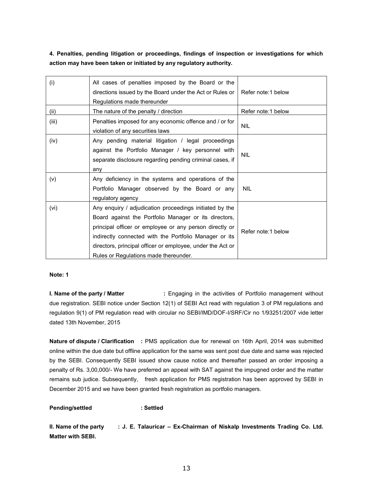**4. Penalties, pending litigation or proceedings, findings of inspection or investigations for which action may have been taken or initiated by any regulatory authority.**

| (i)   | All cases of penalties imposed by the Board or the<br>directions issued by the Board under the Act or Rules or<br>Regulations made thereunder                                                                                                                                                                                                | Refer note:1 below  |
|-------|----------------------------------------------------------------------------------------------------------------------------------------------------------------------------------------------------------------------------------------------------------------------------------------------------------------------------------------------|---------------------|
| (ii)  | The nature of the penalty / direction                                                                                                                                                                                                                                                                                                        | Refer note:1 below  |
| (iii) | Penalties imposed for any economic offence and / or for<br>violation of any securities laws                                                                                                                                                                                                                                                  | <b>NIL</b>          |
| (iv)  | Any pending material litigation / legal proceedings<br>against the Portfolio Manager / key personnel with<br>separate disclosure regarding pending criminal cases, if<br>any                                                                                                                                                                 | <b>NIL</b>          |
| (v)   | Any deficiency in the systems and operations of the<br>Portfolio Manager observed by the Board or any<br>regulatory agency                                                                                                                                                                                                                   | <b>NIL</b>          |
| (vi)  | Any enquiry / adjudication proceedings initiated by the<br>Board against the Portfolio Manager or its directors,<br>principal officer or employee or any person directly or<br>indirectly connected with the Portfolio Manager or its<br>directors, principal officer or employee, under the Act or<br>Rules or Regulations made thereunder. | Refer note: 1 below |

## **Note: 1**

**I. Name of the party / Matter :** Engaging in the activities of Portfolio management without due registration. SEBI notice under Section 12(1) of SEBI Act read with regulation 3 of PM regulations and regulation 9(1) of PM regulation read with circular no SEBI/IMD/DOF-I/SRF/Cir no 1/93251/2007 vide letter dated 13th November, 2015

**Nature of dispute / Clarification :** PMS application due for renewal on 16th April, 2014 was submitted online within the due date but offline application for the same was sent post due date and same was rejected by the SEBI. Consequently SEBI issued show cause notice and thereafter passed an order imposing a penalty of Rs. 3,00,000/- We have preferred an appeal with SAT against the impugned order and the matter remains sub judice. Subsequently, fresh application for PMS registration has been approved by SEBI in December 2015 and we have been granted fresh registration as portfolio managers.

**Pending/settled : Settled**

**II. Name of the party : J. E. Talauricar – Ex-Chairman of Niskalp Investments Trading Co. Ltd. Matter with SEBI.**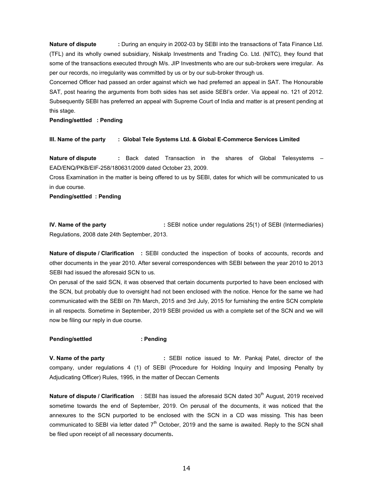**Nature of dispute :** During an enquiry in 2002-03 by SEBI into the transactions of Tata Finance Ltd. (TFL) and its wholly owned subsidiary, Niskalp Investments and Trading Co. Ltd. (NITC), they found that some of the transactions executed through M/s. JIP Investments who are our sub-brokers were irregular. As per our records, no irregularity was committed by us or by our sub-broker through us.

Concerned Officer had passed an order against which we had preferred an appeal in SAT. The Honourable SAT, post hearing the arguments from both sides has set aside SEBI's order. Via appeal no. 121 of 2012. Subsequently SEBI has preferred an appeal with Supreme Court of India and matter is at present pending at this stage.

**Pending/settled : Pending**

#### **III. Name of the party : Global Tele Systems Ltd. & Global E-Commerce Services Limited**

**Nature of dispute :** Back dated Transaction in the shares of Global Telesystems – EAD/ENQ/PKB/EIF-258/180631/2009 dated October 23, 2009.

Cross Examination in the matter is being offered to us by SEBI, dates for which will be communicated to us in due course.

**Pending/settled : Pending**

**IV. Name of the party :** SEBI notice under regulations 25(1) of SEBI (Intermediaries) Regulations, 2008 date 24th September, 2013.

**Nature of dispute / Clarification :** SEBI conducted the inspection of books of accounts, records and other documents in the year 2010. After several correspondences with SEBI between the year 2010 to 2013 SEBI had issued the aforesaid SCN to us.

On perusal of the said SCN, it was observed that certain documents purported to have been enclosed with the SCN, but probably due to oversight had not been enclosed with the notice. Hence for the same we had communicated with the SEBI on 7th March, 2015 and 3rd July, 2015 for furnishing the entire SCN complete in all respects. Sometime in September, 2019 SEBI provided us with a complete set of the SCN and we will now be filing our reply in due course.

#### **Pending/settled : Pending**

**V. Name of the party :** SEBI notice issued to Mr. Pankaj Patel, director of the company, under regulations 4 (1) of SEBI (Procedure for Holding Inquiry and Imposing Penalty by Adjudicating Officer) Rules, 1995, in the matter of Deccan Cements

Nature of dispute / Clarification : SEBI has issued the aforesaid SCN dated 30<sup>th</sup> August, 2019 received sometime towards the end of September, 2019. On perusal of the documents, it was noticed that the annexures to the SCN purported to be enclosed with the SCN in a CD was missing. This has been communicated to SEBI via letter dated 7<sup>th</sup> October, 2019 and the same is awaited. Reply to the SCN shall be filed upon receipt of all necessary documents**.**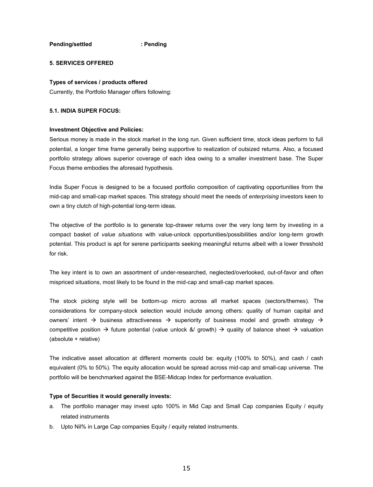**Pending/settled : Pending**

## **5. SERVICES OFFERED**

#### **Types of services / products offered**

Currently, the Portfolio Manager offers following:

### **5.1. INDIA SUPER FOCUS:**

#### **Investment Objective and Policies:**

Serious money is made in the stock market in the long run. Given sufficient time, stock ideas perform to full potential, a longer time frame generally being supportive to realization of outsized returns. Also, a focused portfolio strategy allows superior coverage of each idea owing to a smaller investment base. The Super Focus theme embodies the aforesaid hypothesis.

India Super Focus is designed to be a focused portfolio composition of captivating opportunities from the mid-cap and small-cap market spaces. This strategy should meet the needs of *enterprising* investors keen to own a tiny clutch of high-potential long-term ideas.

The objective of the portfolio is to generate top-drawer returns over the very long term by investing in a compact basket of *value situations* with value-unlock opportunities/possibilities and/or long-term growth potential. This product is apt for serene participants seeking meaningful returns albeit with a lower threshold for risk.

The key intent is to own an assortment of under-researched, neglected/overlooked, out-of-favor and often mispriced situations, most likely to be found in the mid-cap and small-cap market spaces.

The stock picking style will be bottom-up micro across all market spaces (sectors/themes). The considerations for company-stock selection would include among others: quality of human capital and owners' intent  $\rightarrow$  business attractiveness  $\rightarrow$  superiority of business model and growth strategy  $\rightarrow$ competitive position  $\rightarrow$  future potential (value unlock &/ growth)  $\rightarrow$  quality of balance sheet  $\rightarrow$  valuation (absolute + relative)

The indicative asset allocation at different moments could be: equity (100% to 50%), and cash / cash equivalent (0% to 50%). The equity allocation would be spread across mid-cap and small-cap universe. The portfolio will be benchmarked against the BSE-Midcap Index for performance evaluation.

## **Type of Securities it would generally invests:**

- a. The portfolio manager may invest upto 100% in Mid Cap and Small Cap companies Equity / equity related instruments
- b. Upto Nil% in Large Cap companies Equity / equity related instruments.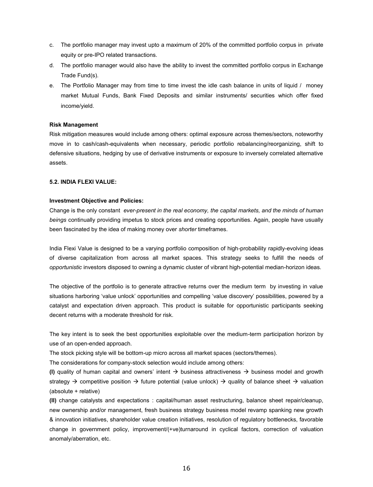- c. The portfolio manager may invest upto a maximum of 20% of the committed portfolio corpus in private equity or pre-IPO related transactions.
- d. The portfolio manager would also have the ability to invest the committed portfolio corpus in Exchange Trade Fund(s).
- e. The Portfolio Manager may from time to time invest the idle cash balance in units of liquid / money market Mutual Funds, Bank Fixed Deposits and similar instruments/ securities which offer fixed income/yield.

#### **Risk Management**

Risk mitigation measures would include among others: optimal exposure across themes/sectors, noteworthy move in to cash/cash-equivalents when necessary, periodic portfolio rebalancing/reorganizing, shift to defensive situations, hedging by use of derivative instruments or exposure to inversely correlated alternative assets.

#### **5.2. INDIA FLEXI VALUE:**

#### **Investment Objective and Policies:**

Change is the only constant *ever-present in the real economy, the capital markets, and the minds of human beings* continually providing impetus to stock prices and creating opportunities. Again, people have usually been fascinated by the idea of making money over *shorter* timeframes.

India Flexi Value is designed to be a varying portfolio composition of high-probability rapidly-evolving ideas of diverse capitalization from across all market spaces. This strategy seeks to fulfill the needs of *opportunistic* investors disposed to owning a dynamic cluster of vibrant high-potential median-horizon ideas.

The objective of the portfolio is to generate attractive returns over the medium term by investing in value situations harboring 'value unlock' opportunities and compelling 'value discovery' possibilities, powered by a catalyst and expectation driven approach. This product is suitable for opportunistic participants seeking decent returns with a moderate threshold for risk.

The key intent is to seek the best opportunities exploitable over the medium-term participation horizon by use of an open-ended approach.

The stock picking style will be bottom-up micro across all market spaces (sectors/themes).

The considerations for company-stock selection would include among others:

**(I)** quality of human capital and owners' intent  $\rightarrow$  business attractiveness  $\rightarrow$  business model and growth strategy  $\rightarrow$  competitive position  $\rightarrow$  future potential (value unlock)  $\rightarrow$  quality of balance sheet  $\rightarrow$  valuation (absolute + relative)

**(II)** change catalysts and expectations : capital/human asset restructuring, balance sheet repair/cleanup, new ownership and/or management, fresh business strategy business model revamp spanking new growth & innovation initiatives, shareholder value creation initiatives, resolution of regulatory bottlenecks, favorable change in government policy, improvement/(+ve)turnaround in cyclical factors, correction of valuation anomaly/aberration, etc.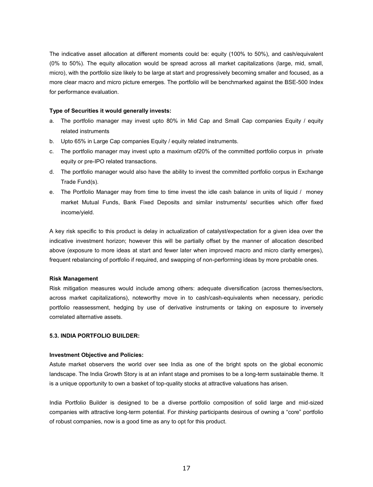The indicative asset allocation at different moments could be: equity (100% to 50%), and cash/equivalent (0% to 50%). The equity allocation would be spread across all market capitalizations (large, mid, small, micro), with the portfolio size likely to be large at start and progressively becoming smaller and focused, as a more clear macro and micro picture emerges. The portfolio will be benchmarked against the BSE-500 Index for performance evaluation.

#### **Type of Securities it would generally invests:**

- a. The portfolio manager may invest upto 80% in Mid Cap and Small Cap companies Equity / equity related instruments
- b. Upto 65% in Large Cap companies Equity / equity related instruments.
- c. The portfolio manager may invest upto a maximum of20% of the committed portfolio corpus in private equity or pre-IPO related transactions.
- d. The portfolio manager would also have the ability to invest the committed portfolio corpus in Exchange Trade Fund(s).
- e. The Portfolio Manager may from time to time invest the idle cash balance in units of liquid / money market Mutual Funds, Bank Fixed Deposits and similar instruments/ securities which offer fixed income/yield.

A key risk specific to this product is delay in actualization of catalyst/expectation for a given idea over the indicative investment horizon; however this will be partially offset by the manner of allocation described above (exposure to more ideas at start and fewer later when improved macro and micro clarity emerges), frequent rebalancing of portfolio if required, and swapping of non-performing ideas by more probable ones.

#### **Risk Management**

Risk mitigation measures would include among others: adequate diversification (across themes/sectors, across market capitalizations), noteworthy move in to cash/cash-equivalents when necessary, periodic portfolio reassessment, hedging by use of derivative instruments or taking on exposure to inversely correlated alternative assets.

## **5.3. INDIA PORTFOLIO BUILDER:**

#### **Investment Objective and Policies:**

Astute market observers the world over see India as one of the bright spots on the global economic landscape. The India Growth Story is at an infant stage and promises to be a long-term sustainable theme. It is a unique opportunity to own a basket of top-quality stocks at attractive valuations has arisen.

India Portfolio Builder is designed to be a diverse portfolio composition of solid large and mid-sized companies with attractive long-term potential. For *thinking* participants desirous of owning a "core" portfolio of robust companies, now is a good time as any to opt for this product.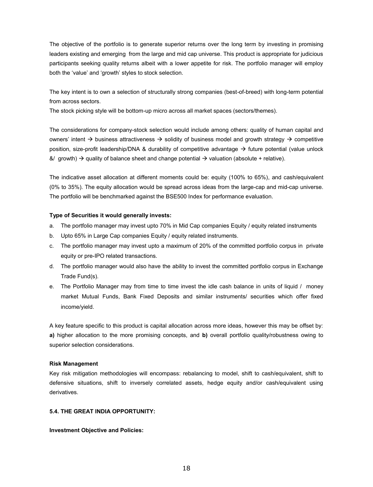The objective of the portfolio is to generate superior returns over the long term by investing in promising leaders existing and emerging from the large and mid cap universe. This product is appropriate for judicious participants seeking quality returns albeit with a lower appetite for risk. The portfolio manager will employ both the 'value' and 'growth' styles to stock selection.

The key intent is to own a selection of structurally strong companies (best-of-breed) with long-term potential from across sectors.

The stock picking style will be bottom-up micro across all market spaces (sectors/themes).

The considerations for company-stock selection would include among others: quality of human capital and owners' intent  $\rightarrow$  business attractiveness  $\rightarrow$  solidity of business model and growth strategy  $\rightarrow$  competitive position, size-profit leadership/DNA & durability of competitive advantage  $\rightarrow$  future potential (value unlock &/ growth)  $\rightarrow$  quality of balance sheet and change potential  $\rightarrow$  valuation (absolute + relative).

The indicative asset allocation at different moments could be: equity (100% to 65%), and cash/equivalent (0% to 35%). The equity allocation would be spread across ideas from the large-cap and mid-cap universe. The portfolio will be benchmarked against the BSE500 Index for performance evaluation.

#### **Type of Securities it would generally invests:**

- a. The portfolio manager may invest upto 70% in Mid Cap companies Equity / equity related instruments
- b. Upto 65% in Large Cap companies Equity / equity related instruments.
- c. The portfolio manager may invest upto a maximum of 20% of the committed portfolio corpus in private equity or pre-IPO related transactions.
- d. The portfolio manager would also have the ability to invest the committed portfolio corpus in Exchange Trade Fund(s).
- e. The Portfolio Manager may from time to time invest the idle cash balance in units of liquid / money market Mutual Funds, Bank Fixed Deposits and similar instruments/ securities which offer fixed income/yield.

A key feature specific to this product is capital allocation across more ideas, however this may be offset by: **a)** higher allocation to the more promising concepts, and **b)** overall portfolio quality/robustness owing to superior selection considerations.

#### **Risk Management**

Key risk mitigation methodologies will encompass: rebalancing to model, shift to cash/equivalent, shift to defensive situations, shift to inversely correlated assets, hedge equity and/or cash/equivalent using derivatives.

## **5.4. THE GREAT INDIA OPPORTUNITY:**

#### **Investment Objective and Policies:**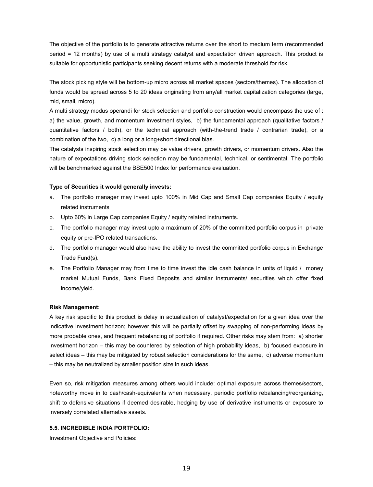The objective of the portfolio is to generate attractive returns over the short to medium term (recommended period = 12 months) by use of a multi strategy catalyst and expectation driven approach. This product is suitable for opportunistic participants seeking decent returns with a moderate threshold for risk.

The stock picking style will be bottom-up micro across all market spaces (sectors/themes). The allocation of funds would be spread across 5 to 20 ideas originating from any/all market capitalization categories (large, mid, small, micro).

A multi strategy modus operandi for stock selection and portfolio construction would encompass the use of : a) the value, growth, and momentum investment styles, b) the fundamental approach (qualitative factors / quantitative factors / both), or the technical approach (with-the-trend trade / contrarian trade), or a combination of the two, c) a long or a long+short directional bias.

The catalysts inspiring stock selection may be value drivers, growth drivers, or momentum drivers. Also the nature of expectations driving stock selection may be fundamental, technical, or sentimental. The portfolio will be benchmarked against the BSE500 Index for performance evaluation.

## **Type of Securities it would generally invests:**

- a. The portfolio manager may invest upto 100% in Mid Cap and Small Cap companies Equity / equity related instruments
- b. Upto 60% in Large Cap companies Equity / equity related instruments.
- c. The portfolio manager may invest upto a maximum of 20% of the committed portfolio corpus in private equity or pre-IPO related transactions.
- d. The portfolio manager would also have the ability to invest the committed portfolio corpus in Exchange Trade Fund(s).
- e. The Portfolio Manager may from time to time invest the idle cash balance in units of liquid / money market Mutual Funds, Bank Fixed Deposits and similar instruments/ securities which offer fixed income/yield.

#### **Risk Management:**

A key risk specific to this product is delay in actualization of catalyst/expectation for a given idea over the indicative investment horizon; however this will be partially offset by swapping of non-performing ideas by more probable ones, and frequent rebalancing of portfolio if required. Other risks may stem from: a) shorter investment horizon – this may be countered by selection of high probability ideas, b) focused exposure in select ideas – this may be mitigated by robust selection considerations for the same, c) adverse momentum – this may be neutralized by smaller position size in such ideas.

Even so, risk mitigation measures among others would include: optimal exposure across themes/sectors, noteworthy move in to cash/cash-equivalents when necessary, periodic portfolio rebalancing/reorganizing, shift to defensive situations if deemed desirable, hedging by use of derivative instruments or exposure to inversely correlated alternative assets.

#### **5.5. INCREDIBLE INDIA PORTFOLIO:**

Investment Objective and Policies: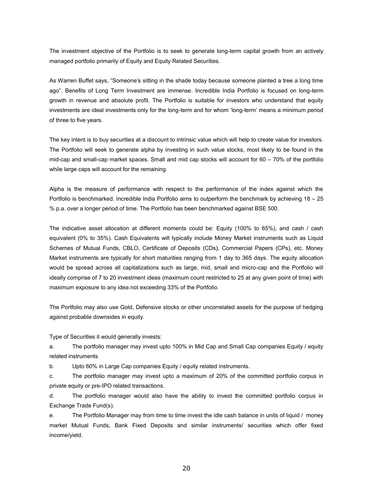The investment objective of the Portfolio is to seek to generate long-term capital growth from an actively managed portfolio primarily of Equity and Equity Related Securities.

As Warren Buffet says, "Someone's sitting in the shade today because someone planted a tree a long time ago". Benefits of Long Term Investment are immense. Incredible India Portfolio is focused on long-term growth in revenue and absolute profit. The Portfolio is suitable for investors who understand that equity investments are ideal investments only for the long-term and for whom 'long-term' means a minimum period of three to five years.

The key intent is to buy securities at a discount to intrinsic value which will help to create value for investors. The Portfolio will seek to generate alpha by investing in such value stocks, most likely to be found in the mid-cap and small-cap market spaces. Small and mid cap stocks will account for 60 – 70% of the portfolio while large caps will account for the remaining.

Alpha is the measure of performance with respect to the performance of the index against which the Portfolio is benchmarked. Incredible India Portfolio aims to outperform the benchmark by achieving 18 – 25 % p.a. over a longer period of time. The Portfolio has been benchmarked against BSE 500.

The indicative asset allocation at different moments could be: Equity (100% to 65%), and cash / cash equivalent (0% to 35%). Cash Equivalents will typically include Money Market instruments such as Liquid Schemes of Mutual Funds, CBLO, Certificate of Deposits (CDs), Commercial Papers (CPs), etc. Money Market instruments are typically for short maturities ranging from 1 day to 365 days. The equity allocation would be spread across all capitalizations such as large, mid, small and micro-cap and the Portfolio will ideally comprise of 7 to 20 investment ideas (maximum count restricted to 25 at any given point of time) with maximum exposure to any idea not exceeding 33% of the Portfolio.

The Portfolio may also use Gold, Defensive stocks or other uncorrelated assets for the purpose of hedging against probable downsides in equity.

Type of Securities it would generally invests:

a. The portfolio manager may invest upto 100% in Mid Cap and Small Cap companies Equity / equity related instruments

b. Upto 60% in Large Cap companies Equity / equity related instruments.

c. The portfolio manager may invest upto a maximum of 20% of the committed portfolio corpus in private equity or pre-IPO related transactions.

d. The portfolio manager would also have the ability to invest the committed portfolio corpus in Exchange Trade Fund(s).

e. The Portfolio Manager may from time to time invest the idle cash balance in units of liquid / money market Mutual Funds, Bank Fixed Deposits and similar instruments/ securities which offer fixed income/yield.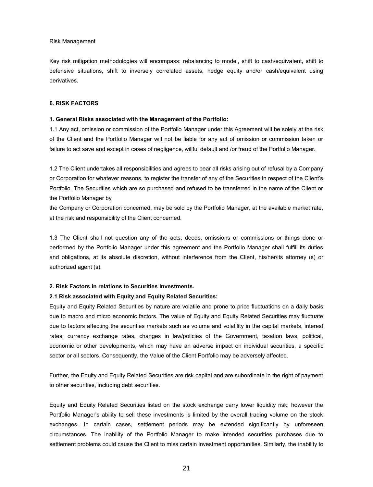#### Risk Management

Key risk mitigation methodologies will encompass: rebalancing to model, shift to cash/equivalent, shift to defensive situations, shift to inversely correlated assets, hedge equity and/or cash/equivalent using derivatives.

## **6. RISK FACTORS**

#### **1. General Risks associated with the Management of the Portfolio:**

1.1 Any act, omission or commission of the Portfolio Manager under this Agreement will be solely at the risk of the Client and the Portfolio Manager will not be liable for any act of omission or commission taken or failure to act save and except in cases of negligence, willful default and /or fraud of the Portfolio Manager.

1.2 The Client undertakes all responsibilities and agrees to bear all risks arising out of refusal by a Company or Corporation for whatever reasons, to register the transfer of any of the Securities in respect of the Client's Portfolio. The Securities which are so purchased and refused to be transferred in the name of the Client or the Portfolio Manager by

the Company or Corporation concerned, may be sold by the Portfolio Manager, at the available market rate, at the risk and responsibility of the Client concerned.

1.3 The Client shall not question any of the acts, deeds, omissions or commissions or things done or performed by the Portfolio Manager under this agreement and the Portfolio Manager shall fulfill its duties and obligations, at its absolute discretion, without interference from the Client, his/her/its attorney (s) or authorized agent (s).

#### **2. Risk Factors in relations to Securities Investments.**

## **2.1 Risk associated with Equity and Equity Related Securities:**

Equity and Equity Related Securities by nature are volatile and prone to price fluctuations on a daily basis due to macro and micro economic factors. The value of Equity and Equity Related Securities may fluctuate due to factors affecting the securities markets such as volume and volatility in the capital markets, interest rates, currency exchange rates, changes in law/policies of the Government, taxation laws, political, economic or other developments, which may have an adverse impact on individual securities, a specific sector or all sectors. Consequently, the Value of the Client Portfolio may be adversely affected.

Further, the Equity and Equity Related Securities are risk capital and are subordinate in the right of payment to other securities, including debt securities.

Equity and Equity Related Securities listed on the stock exchange carry lower liquidity risk; however the Portfolio Manager's ability to sell these investments is limited by the overall trading volume on the stock exchanges. In certain cases, settlement periods may be extended significantly by unforeseen circumstances. The inability of the Portfolio Manager to make intended securities purchases due to settlement problems could cause the Client to miss certain investment opportunities. Similarly, the inability to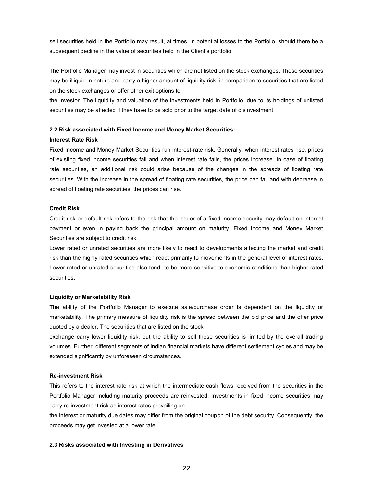sell securities held in the Portfolio may result, at times, in potential losses to the Portfolio, should there be a subsequent decline in the value of securities held in the Client's portfolio.

The Portfolio Manager may invest in securities which are not listed on the stock exchanges. These securities may be illiquid in nature and carry a higher amount of liquidity risk, in comparison to securities that are listed on the stock exchanges or offer other exit options to

the investor. The liquidity and valuation of the investments held in Portfolio, due to its holdings of unlisted securities may be affected if they have to be sold prior to the target date of disinvestment.

## **2.2 Risk associated with Fixed Income and Money Market Securities:**

#### **Interest Rate Risk**

Fixed Income and Money Market Securities run interest-rate risk. Generally, when interest rates rise, prices of existing fixed income securities fall and when interest rate falls, the prices increase. In case of floating rate securities, an additional risk could arise because of the changes in the spreads of floating rate securities. With the increase in the spread of floating rate securities, the price can fall and with decrease in spread of floating rate securities, the prices can rise.

### **Credit Risk**

Credit risk or default risk refers to the risk that the issuer of a fixed income security may default on interest payment or even in paying back the principal amount on maturity. Fixed Income and Money Market Securities are subject to credit risk.

Lower rated or unrated securities are more likely to react to developments affecting the market and credit risk than the highly rated securities which react primarily to movements in the general level of interest rates. Lower rated or unrated securities also tend to be more sensitive to economic conditions than higher rated securities.

## **Liquidity or Marketability Risk**

The ability of the Portfolio Manager to execute sale/purchase order is dependent on the liquidity or marketability. The primary measure of liquidity risk is the spread between the bid price and the offer price quoted by a dealer. The securities that are listed on the stock

exchange carry lower liquidity risk, but the ability to sell these securities is limited by the overall trading volumes. Further, different segments of Indian financial markets have different settlement cycles and may be extended significantly by unforeseen circumstances.

#### **Re-investment Risk**

This refers to the interest rate risk at which the intermediate cash flows received from the securities in the Portfolio Manager including maturity proceeds are reinvested. Investments in fixed income securities may carry re-investment risk as interest rates prevailing on

the interest or maturity due dates may differ from the original coupon of the debt security. Consequently, the proceeds may get invested at a lower rate.

## **2.3 Risks associated with Investing in Derivatives**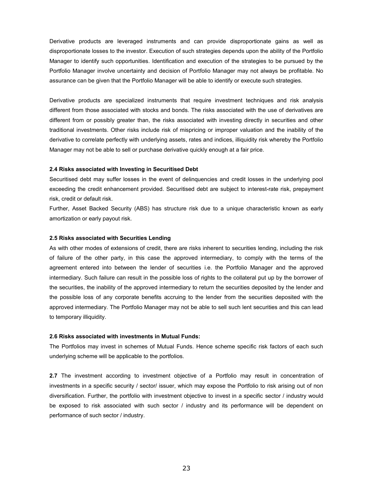Derivative products are leveraged instruments and can provide disproportionate gains as well as disproportionate losses to the investor. Execution of such strategies depends upon the ability of the Portfolio Manager to identify such opportunities. Identification and execution of the strategies to be pursued by the Portfolio Manager involve uncertainty and decision of Portfolio Manager may not always be profitable. No assurance can be given that the Portfolio Manager will be able to identify or execute such strategies.

Derivative products are specialized instruments that require investment techniques and risk analysis different from those associated with stocks and bonds. The risks associated with the use of derivatives are different from or possibly greater than, the risks associated with investing directly in securities and other traditional investments. Other risks include risk of mispricing or improper valuation and the inability of the derivative to correlate perfectly with underlying assets, rates and indices, illiquidity risk whereby the Portfolio Manager may not be able to sell or purchase derivative quickly enough at a fair price.

#### **2.4 Risks associated with Investing in Securitised Debt**

Securitised debt may suffer losses in the event of delinquencies and credit losses in the underlying pool exceeding the credit enhancement provided. Securitised debt are subject to interest-rate risk, prepayment risk, credit or default risk.

Further, Asset Backed Security (ABS) has structure risk due to a unique characteristic known as early amortization or early payout risk.

#### **2.5 Risks associated with Securities Lending**

As with other modes of extensions of credit, there are risks inherent to securities lending, including the risk of failure of the other party, in this case the approved intermediary, to comply with the terms of the agreement entered into between the lender of securities i.e. the Portfolio Manager and the approved intermediary. Such failure can result in the possible loss of rights to the collateral put up by the borrower of the securities, the inability of the approved intermediary to return the securities deposited by the lender and the possible loss of any corporate benefits accruing to the lender from the securities deposited with the approved intermediary. The Portfolio Manager may not be able to sell such lent securities and this can lead to temporary illiquidity.

#### **2.6 Risks associated with investments in Mutual Funds:**

The Portfolios may invest in schemes of Mutual Funds. Hence scheme specific risk factors of each such underlying scheme will be applicable to the portfolios.

**2.7** The investment according to investment objective of a Portfolio may result in concentration of investments in a specific security / sector/ issuer, which may expose the Portfolio to risk arising out of non diversification. Further, the portfolio with investment objective to invest in a specific sector / industry would be exposed to risk associated with such sector / industry and its performance will be dependent on performance of such sector / industry.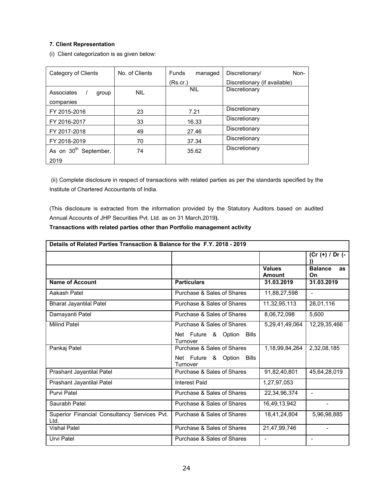## **7. Client Representation**

(i) Client categorization is as given below:

| Category of Clients               | No. of Clients | <b>Funds</b><br>managed | Discretionary/<br>Non-       |
|-----------------------------------|----------------|-------------------------|------------------------------|
|                                   |                | (Rs.cr.)                | Discretionary (if available) |
| Associates<br>group               | <b>NIL</b>     | <b>NIL</b>              | Discretionary                |
| companies                         |                |                         |                              |
| FY 2015-2016                      | 23             | 7.21                    | Discretionary                |
| FY 2016-2017                      | 33             | 16.33                   | Discretionary                |
| FY 2017-2018                      | 49             | 27.46                   | Discretionary                |
| FY 2018-2019                      | 70             | 37.34                   | Discretionary                |
| As on 30 <sup>th</sup> September, | 74             | 35.62                   | Discretionary                |
| 2019                              |                |                         |                              |

(ii) Complete disclosure in respect of transactions with related parties as per the standards specified by the Institute of Chartered Accountants of India.

(This disclosure is extracted from the information provided by the Statutory Auditors based on audited Annual Accounts of JHP Securities Pvt. Ltd. as on 31 March,2019**).**

## **Transactions with related parties other than Portfolio management activity**

| Details of Related Parties Transaction & Balance for the F.Y. 2018 - 2019 |                                          |                |                                           |
|---------------------------------------------------------------------------|------------------------------------------|----------------|-------------------------------------------|
|                                                                           |                                          | <b>Values</b>  | $(Cr (+) / Dr (-$<br><b>Balance</b><br>as |
|                                                                           |                                          | Amount         | On                                        |
| <b>Name of Account</b>                                                    | <b>Particulars</b>                       | 31.03.2019     | 31.03.2019                                |
| Aakash Patel                                                              | Purchase & Sales of Shares               | 11,88,27,598   | $\blacksquare$                            |
| <b>Bharat Jayantilal Patel</b>                                            | Purchase & Sales of Shares               | 11,32,95,113   | 28,01,116                                 |
| Damayanti Patel                                                           | Purchase & Sales of Shares               | 8,06,72,098    | 5,600                                     |
| <b>Milind Patel</b>                                                       | Purchase & Sales of Shares               | 5,29,41,49,064 | 12,29,35,466                              |
|                                                                           | Net Future & Option<br>Bills<br>Turnover |                |                                           |
| Pankaj Patel                                                              | Purchase & Sales of Shares               | 1,18,99,84,264 | 2,32,08,185                               |
|                                                                           | Net Future & Option<br>Bills<br>Turnover |                |                                           |
| Prashant Jayantilal Patel                                                 | Purchase & Sales of Shares               | 91,82,40,801   | 45,64,28,019                              |
| Prashant Jayantilal Patel                                                 | Interest Paid                            | 1,27,97,053    |                                           |
| Purvi Patel                                                               | Purchase & Sales of Shares               | 22,34,96,374   |                                           |
| Saurabh Patel                                                             | Purchase & Sales of Shares               | 16,49,13,942   |                                           |
| Superior Financial Consultancy Services Pvt.<br>Ltd.                      | Purchase & Sales of Shares               | 18,41,24,804   | 5,96,98,885                               |
| <b>Vishal Patel</b>                                                       | Purchase & Sales of Shares               | 21,47,99,746   | $\blacksquare$                            |
| Urvi Patel                                                                | Purchase & Sales of Shares               | $\blacksquare$ | $\overline{\phantom{a}}$                  |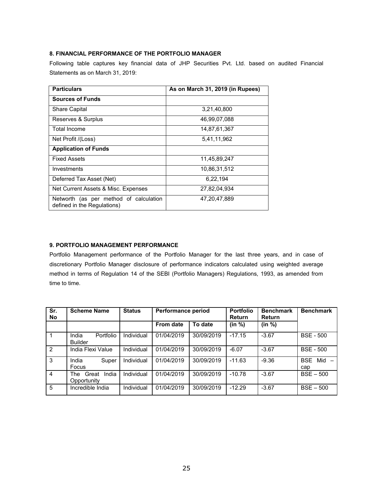## **8. FINANCIAL PERFORMANCE OF THE PORTFOLIO MANAGER**

Following table captures key financial data of JHP Securities Pvt. Ltd. based on audited Financial Statements as on March 31, 2019:

| <b>Particulars</b>                                                    | As on March 31, 2019 (in Rupees) |
|-----------------------------------------------------------------------|----------------------------------|
| <b>Sources of Funds</b>                                               |                                  |
| <b>Share Capital</b>                                                  | 3,21,40,800                      |
| Reserves & Surplus                                                    | 46,99,07,088                     |
| Total Income                                                          | 14.87.61.367                     |
| Net Profit /(Loss)                                                    | 5.41.11.962                      |
| <b>Application of Funds</b>                                           |                                  |
| <b>Fixed Assets</b>                                                   | 11,45,89,247                     |
| Investments                                                           | 10,86,31,512                     |
| Deferred Tax Asset (Net)                                              | 6.22.194                         |
| Net Current Assets & Misc. Expenses                                   | 27.82.04.934                     |
| Networth (as per method of calculation<br>defined in the Regulations) | 47.20.47.889                     |

## **9. PORTFOLIO MANAGEMENT PERFORMANCE**

Portfolio Management performance of the Portfolio Manager for the last three years, and in case of discretionary Portfolio Manager disclosure of performance indicators calculated using weighted average method in terms of Regulation 14 of the SEBI (Portfolio Managers) Regulations, 1993, as amended from time to time.

| Sr.<br><b>No</b> | <b>Scheme Name</b>                   | <b>Status</b> | <b>Performance period</b> |            | <b>Portfolio</b><br><b>Return</b> | <b>Benchmark</b><br><b>Return</b> | <b>Benchmark</b>         |
|------------------|--------------------------------------|---------------|---------------------------|------------|-----------------------------------|-----------------------------------|--------------------------|
|                  |                                      |               | From date                 | To date    | (in %)                            | (in %)                            |                          |
|                  | Portfolio<br>India<br><b>Builder</b> | Individual    | 01/04/2019                | 30/09/2019 | $-17.15$                          | $-3.67$                           | <b>BSE - 500</b>         |
| $\overline{2}$   | India Flexi Value                    | Individual    | 01/04/2019                | 30/09/2019 | $-6.07$                           | $-3.67$                           | <b>BSE - 500</b>         |
| 3                | India<br>Super<br>Focus              | Individual    | 01/04/2019                | 30/09/2019 | $-11.63$                          | $-9.36$                           | Mid<br><b>BSE</b><br>cap |
| 4                | India<br>The<br>Great<br>Opportunity | Individual    | 01/04/2019                | 30/09/2019 | $-10.78$                          | $-3.67$                           | $BSE - 500$              |
| 5                | Incredible India                     | Individual    | 01/04/2019                | 30/09/2019 | $-12.29$                          | $-3.67$                           | $BSE - 500$              |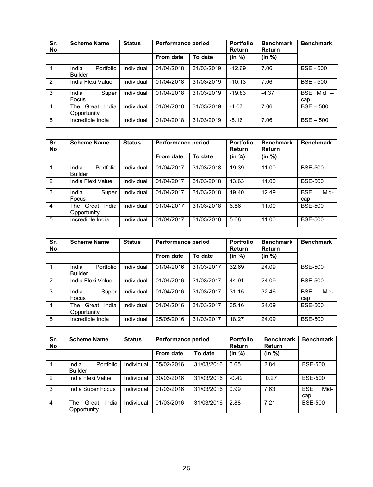| Sr.<br>No      | <b>Scheme Name</b>                   | <b>Status</b> | <b>Performance period</b> |            | <b>Portfolio</b><br>Return | <b>Benchmark</b><br>Return | <b>Benchmark</b>                                     |
|----------------|--------------------------------------|---------------|---------------------------|------------|----------------------------|----------------------------|------------------------------------------------------|
|                |                                      |               | From date                 | To date    | (in %)                     | (in %)                     |                                                      |
|                | India<br>Portfolio<br><b>Builder</b> | Individual    | 01/04/2018                | 31/03/2019 | $-12.69$                   | 7.06                       | <b>BSE - 500</b>                                     |
| 2              | India Flexi Value                    | Individual    | 01/04/2018                | 31/03/2019 | $-10.13$                   | 7.06                       | <b>BSE - 500</b>                                     |
| 3              | India<br>Super<br>Focus              | Individual    | 01/04/2018                | 31/03/2019 | $-19.83$                   | $-4.37$                    | <b>BSE</b><br>Mid<br>$\overline{\phantom{0}}$<br>cap |
| $\overline{4}$ | India<br>Great<br>The<br>Opportunity | Individual    | 01/04/2018                | 31/03/2019 | $-4.07$                    | 7.06                       | $BSE - 500$                                          |
| 5              | Incredible India                     | Individual    | 01/04/2018                | 31/03/2019 | $-5.16$                    | 7.06                       | $BSE - 500$                                          |

| Sr.<br>No      | <b>Scheme Name</b>                   | <b>Status</b> | Performance period |            | <b>Portfolio</b><br>Return | <b>Benchmark</b><br>Return | <b>Benchmark</b>          |
|----------------|--------------------------------------|---------------|--------------------|------------|----------------------------|----------------------------|---------------------------|
|                |                                      |               | <b>From date</b>   | To date    | (in %)                     | (in %)                     |                           |
|                | India<br>Portfolio<br><b>Builder</b> | Individual    | 01/04/2017         | 31/03/2018 | 19.39                      | 11.00                      | <b>BSE-500</b>            |
| $\overline{2}$ | India Flexi Value                    | Individual    | 01/04/2017         | 31/03/2018 | 13.63                      | 11.00                      | <b>BSE-500</b>            |
| 3              | India<br>Super<br><b>Focus</b>       | Individual    | 01/04/2017         | 31/03/2018 | 19.40                      | 12.49                      | <b>BSE</b><br>Mid-<br>cap |
| $\overline{4}$ | India<br>The<br>Great<br>Opportunity | Individual    | 01/04/2017         | 31/03/2018 | 6.86                       | 11.00                      | <b>BSE-500</b>            |
| 5              | Incredible India                     | Individual    | 01/04/2017         | 31/03/2018 | 5.68                       | 11.00                      | <b>BSE-500</b>            |

| Sr.<br>No      | <b>Scheme Name</b>                   | <b>Status</b> | Performance period |            | <b>Portfolio</b><br>Return | <b>Benchmark</b><br>Return | <b>Benchmark</b>          |
|----------------|--------------------------------------|---------------|--------------------|------------|----------------------------|----------------------------|---------------------------|
|                |                                      |               | From date          | To date    | (in %)                     | (in %)                     |                           |
|                | Portfolio<br>India<br><b>Builder</b> | Individual    | 01/04/2016         | 31/03/2017 | 32.69                      | 24.09                      | <b>BSE-500</b>            |
| $\overline{2}$ | India Flexi Value                    | Individual    | 01/04/2016         | 31/03/2017 | 44.91                      | 24.09                      | <b>BSE-500</b>            |
| 3              | India<br>Super<br>Focus              | Individual    | 01/04/2016         | 31/03/2017 | 31.15                      | 32.46                      | <b>BSE</b><br>Mid-<br>cap |
| 4              | India<br>Great<br>The<br>Opportunity | Individual    | 01/04/2016         | 31/03/2017 | 35.16                      | 24.09                      | <b>BSE-500</b>            |
| 5              | Incredible India                     | Individual    | 25/05/2016         | 31/03/2017 | 18.27                      | 24.09                      | <b>BSE-500</b>            |

| Sr.<br>No      | <b>Scheme Name</b>                   | <b>Status</b> | Performance period |            | <b>Portfolio</b><br><b>Return</b> | <b>Benchmark</b><br><b>Return</b> | <b>Benchmark</b>          |
|----------------|--------------------------------------|---------------|--------------------|------------|-----------------------------------|-----------------------------------|---------------------------|
|                |                                      |               | From date          | To date    | (in %)                            | (in %)                            |                           |
|                | Portfolio<br>India<br><b>Builder</b> | Individual    | 05/02/2016         | 31/03/2016 | 5.65                              | 2.84                              | <b>BSE-500</b>            |
| $\overline{2}$ | India Flexi Value                    | Individual    | 30/03/2016         | 31/03/2016 | $-0.42$                           | 0.27                              | <b>BSE-500</b>            |
| 3              | India Super Focus                    | Individual    | 01/03/2016         | 31/03/2016 | 0.99                              | 7.63                              | <b>BSE</b><br>Mid-<br>cap |
| 4              | India<br>Great<br>The<br>Opportunity | Individual    | 01/03/2016         | 31/03/2016 | 2.88                              | 7.21                              | <b>BSE-500</b>            |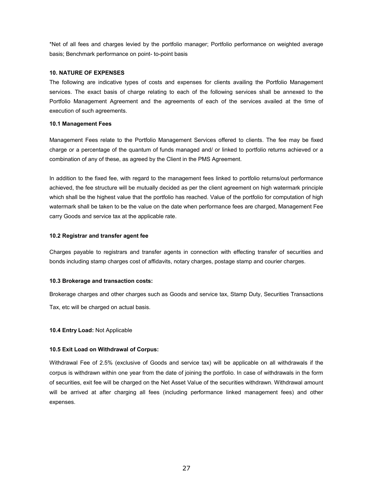\*Net of all fees and charges levied by the portfolio manager; Portfolio performance on weighted average basis; Benchmark performance on point- to-point basis

## **10. NATURE OF EXPENSES**

The following are indicative types of costs and expenses for clients availing the Portfolio Management services. The exact basis of charge relating to each of the following services shall be annexed to the Portfolio Management Agreement and the agreements of each of the services availed at the time of execution of such agreements.

#### **10.1 Management Fees**

Management Fees relate to the Portfolio Management Services offered to clients. The fee may be fixed charge or a percentage of the quantum of funds managed and/ or linked to portfolio returns achieved or a combination of any of these, as agreed by the Client in the PMS Agreement.

In addition to the fixed fee, with regard to the management fees linked to portfolio returns/out performance achieved, the fee structure will be mutually decided as per the client agreement on high watermark principle which shall be the highest value that the portfolio has reached. Value of the portfolio for computation of high watermark shall be taken to be the value on the date when performance fees are charged, Management Fee carry Goods and service tax at the applicable rate.

#### **10.2 Registrar and transfer agent fee**

Charges payable to registrars and transfer agents in connection with effecting transfer of securities and bonds including stamp charges cost of affidavits, notary charges, postage stamp and courier charges.

## **10.3 Brokerage and transaction costs:**

Brokerage charges and other charges such as Goods and service tax, Stamp Duty, Securities Transactions Tax, etc will be charged on actual basis.

## **10.4 Entry Load:** Not Applicable

## **10.5 Exit Load on Withdrawal of Corpus:**

Withdrawal Fee of 2.5% (exclusive of Goods and service tax) will be applicable on all withdrawals if the corpus is withdrawn within one year from the date of joining the portfolio. In case of withdrawals in the form of securities, exit fee will be charged on the Net Asset Value of the securities withdrawn. Withdrawal amount will be arrived at after charging all fees (including performance linked management fees) and other expenses.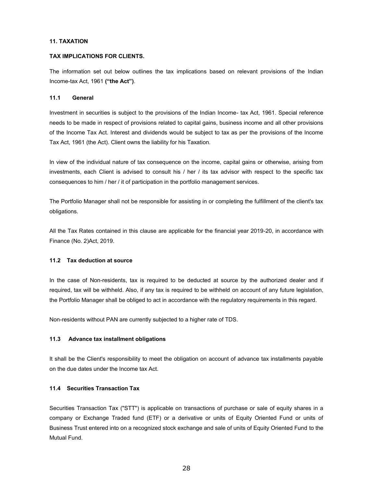#### **11. TAXATION**

#### **TAX IMPLICATIONS FOR CLIENTS.**

The information set out below outlines the tax implications based on relevant provisions of the Indian Income-tax Act, 1961 **("the Act")**.

### **11.1 General**

Investment in securities is subject to the provisions of the Indian Income- tax Act, 1961. Special reference needs to be made in respect of provisions related to capital gains, business income and all other provisions of the Income Tax Act. Interest and dividends would be subject to tax as per the provisions of the Income Tax Act, 1961 (the Act). Client owns the liability for his Taxation.

In view of the individual nature of tax consequence on the income, capital gains or otherwise, arising from investments, each Client is advised to consult his / her / its tax advisor with respect to the specific tax consequences to him / her / it of participation in the portfolio management services.

The Portfolio Manager shall not be responsible for assisting in or completing the fulfillment of the client's tax obligations.

All the Tax Rates contained in this clause are applicable for the financial year 2019-20, in accordance with Finance (No. 2)Act, 2019.

## **11.2 Tax deduction at source**

In the case of Non-residents, tax is required to be deducted at source by the authorized dealer and if required, tax will be withheld. Also, if any tax is required to be withheld on account of any future legislation, the Portfolio Manager shall be obliged to act in accordance with the regulatory requirements in this regard.

Non-residents without PAN are currently subjected to a higher rate of TDS.

## **11.3 Advance tax installment obligations**

It shall be the Client's responsibility to meet the obligation on account of advance tax installments payable on the due dates under the Income tax Act.

## **11.4 Securities Transaction Tax**

Securities Transaction Tax ("STT") is applicable on transactions of purchase or sale of equity shares in a company or Exchange Traded fund (ETF) or a derivative or units of Equity Oriented Fund or units of Business Trust entered into on a recognized stock exchange and sale of units of Equity Oriented Fund to the Mutual Fund.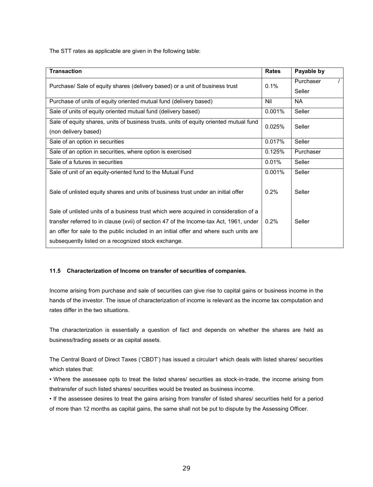The STT rates as applicable are given in the following table:

| <b>Transaction</b>                                                                     | <b>Rates</b> | Payable by |
|----------------------------------------------------------------------------------------|--------------|------------|
| Purchase/ Sale of equity shares (delivery based) or a unit of business trust           |              | Purchaser  |
|                                                                                        |              | Seller     |
| Purchase of units of equity oriented mutual fund (delivery based)                      | Nil          | <b>NA</b>  |
| Sale of units of equity oriented mutual fund (delivery based)                          | 0.001%       | Seller     |
| Sale of equity shares, units of business trusts, units of equity oriented mutual fund  | 0.025%       | Seller     |
| (non delivery based)                                                                   |              |            |
| Sale of an option in securities                                                        | 0.017%       | Seller     |
| Sale of an option in securities, where option is exercised                             | 0.125%       | Purchaser  |
| Sale of a futures in securities                                                        | 0.01%        | Seller     |
| Sale of unit of an equity-oriented fund to the Mutual Fund                             | 0.001%       | Seller     |
|                                                                                        |              |            |
| Sale of unlisted equity shares and units of business trust under an initial offer      | 0.2%         | Seller     |
|                                                                                        |              |            |
| Sale of unlisted units of a business trust which were acquired in consideration of a   |              |            |
| transfer referred to in clause (xvii) of section 47 of the Income-tax Act, 1961, under | 0.2%         | Seller     |
| an offer for sale to the public included in an initial offer and where such units are  |              |            |
| subsequently listed on a recognized stock exchange.                                    |              |            |

## **11.5 Characterization of Income on transfer of securities of companies.**

Income arising from purchase and sale of securities can give rise to capital gains or business income in the hands of the investor. The issue of characterization of income is relevant as the income tax computation and rates differ in the two situations.

The characterization is essentially a question of fact and depends on whether the shares are held as business/trading assets or as capital assets.

The Central Board of Direct Taxes ('CBDT') has issued a circular1 which deals with listed shares/ securities which states that:

• Where the assessee opts to treat the listed shares/ securities as stock-in-trade, the income arising from thetransfer of such listed shares/ securities would be treated as business income.

• If the assessee desires to treat the gains arising from transfer of listed shares/ securities held for a period of more than 12 months as capital gains, the same shall not be put to dispute by the Assessing Officer.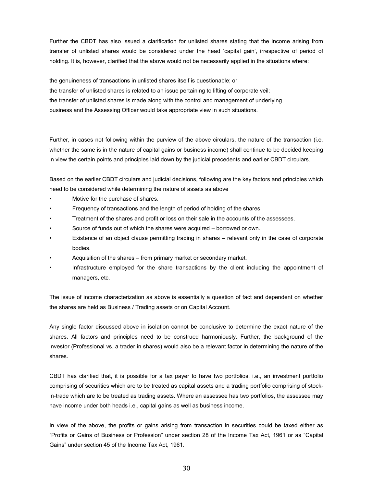Further the CBDT has also issued a clarification for unlisted shares stating that the income arising from transfer of unlisted shares would be considered under the head 'capital gain', irrespective of period of holding. It is, however, clarified that the above would not be necessarily applied in the situations where:

the genuineness of transactions in unlisted shares itself is questionable; or the transfer of unlisted shares is related to an issue pertaining to lifting of corporate veil; the transfer of unlisted shares is made along with the control and management of underlying business and the Assessing Officer would take appropriate view in such situations.

Further, in cases not following within the purview of the above circulars, the nature of the transaction (i.e. whether the same is in the nature of capital gains or business income) shall continue to be decided keeping in view the certain points and principles laid down by the judicial precedents and earlier CBDT circulars.

Based on the earlier CBDT circulars and judicial decisions, following are the key factors and principles which need to be considered while determining the nature of assets as above

- Motive for the purchase of shares.
- Frequency of transactions and the length of period of holding of the shares
- Treatment of the shares and profit or loss on their sale in the accounts of the assessees.
- Source of funds out of which the shares were acquired borrowed or own.
- Existence of an object clause permitting trading in shares relevant only in the case of corporate bodies.
- Acquisition of the shares from primary market or secondary market.
- Infrastructure employed for the share transactions by the client including the appointment of managers, etc.

The issue of income characterization as above is essentially a question of fact and dependent on whether the shares are held as Business / Trading assets or on Capital Account.

Any single factor discussed above in isolation cannot be conclusive to determine the exact nature of the shares. All factors and principles need to be construed harmoniously. Further, the background of the investor (Professional vs. a trader in shares) would also be a relevant factor in determining the nature of the shares.

CBDT has clarified that, it is possible for a tax payer to have two portfolios, i.e., an investment portfolio comprising of securities which are to be treated as capital assets and a trading portfolio comprising of stockin-trade which are to be treated as trading assets. Where an assessee has two portfolios, the assessee may have income under both heads i.e., capital gains as well as business income.

In view of the above, the profits or gains arising from transaction in securities could be taxed either as "Profits or Gains of Business or Profession" under section 28 of the Income Tax Act, 1961 or as "Capital Gains" under section 45 of the Income Tax Act, 1961.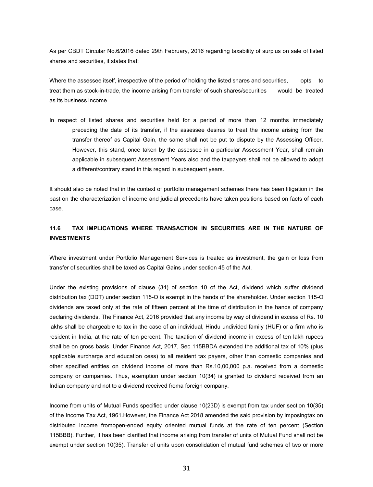As per CBDT Circular No.6/2016 dated 29th February, 2016 regarding taxability of surplus on sale of listed shares and securities, it states that:

Where the assessee itself, irrespective of the period of holding the listed shares and securities, opts to treat them as stock-in-trade, the income arising from transfer of such shares/securities would be treated as its business income

In respect of listed shares and securities held for a period of more than 12 months immediately preceding the date of its transfer, if the assessee desires to treat the income arising from the transfer thereof as Capital Gain, the same shall not be put to dispute by the Assessing Officer. However, this stand, once taken by the assessee in a particular Assessment Year, shall remain applicable in subsequent Assessment Years also and the taxpayers shall not be allowed to adopt a different/contrary stand in this regard in subsequent years.

It should also be noted that in the context of portfolio management schemes there has been litigation in the past on the characterization of income and judicial precedents have taken positions based on facts of each case.

## **11.6 TAX IMPLICATIONS WHERE TRANSACTION IN SECURITIES ARE IN THE NATURE OF INVESTMENTS**

Where investment under Portfolio Management Services is treated as investment, the gain or loss from transfer of securities shall be taxed as Capital Gains under section 45 of the Act.

Under the existing provisions of clause (34) of section 10 of the Act, dividend which suffer dividend distribution tax (DDT) under section 115-O is exempt in the hands of the shareholder. Under section 115-O dividends are taxed only at the rate of fifteen percent at the time of distribution in the hands of company declaring dividends. The Finance Act, 2016 provided that any income by way of dividend in excess of Rs. 10 lakhs shall be chargeable to tax in the case of an individual, Hindu undivided family (HUF) or a firm who is resident in India, at the rate of ten percent. The taxation of dividend income in excess of ten lakh rupees shall be on gross basis. Under Finance Act, 2017, Sec 115BBDA extended the additional tax of 10% (plus applicable surcharge and education cess) to all resident tax payers, other than domestic companies and other specified entities on dividend income of more than Rs.10,00,000 p.a. received from a domestic company or companies. Thus, exemption under section 10(34) is granted to dividend received from an Indian company and not to a dividend received froma foreign company.

Income from units of Mutual Funds specified under clause 10(23D) is exempt from tax under section 10(35) of the Income Tax Act, 1961.However, the Finance Act 2018 amended the said provision by imposingtax on distributed income fromopen-ended equity oriented mutual funds at the rate of ten percent (Section 115BBB). Further, it has been clarified that income arising from transfer of units of Mutual Fund shall not be exempt under section 10(35). Transfer of units upon consolidation of mutual fund schemes of two or more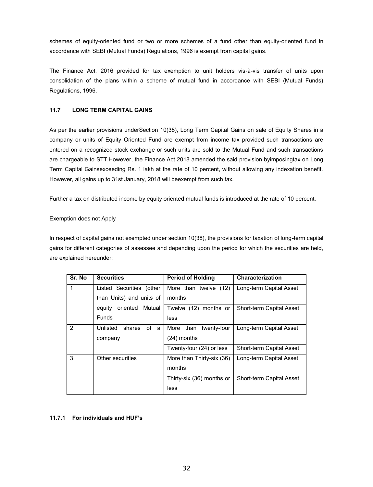schemes of equity-oriented fund or two or more schemes of a fund other than equity-oriented fund in accordance with SEBI (Mutual Funds) Regulations, 1996 is exempt from capital gains.

The Finance Act, 2016 provided for tax exemption to unit holders vis-à-vis transfer of units upon consolidation of the plans within a scheme of mutual fund in accordance with SEBI (Mutual Funds) Regulations, 1996.

## **11.7 LONG TERM CAPITAL GAINS**

As per the earlier provisions underSection 10(38), Long Term Capital Gains on sale of Equity Shares in a company or units of Equity Oriented Fund are exempt from income tax provided such transactions are entered on a recognized stock exchange or such units are sold to the Mutual Fund and such transactions are chargeable to STT.However, the Finance Act 2018 amended the said provision byimposingtax on Long Term Capital Gainsexceeding Rs. 1 lakh at the rate of 10 percent, without allowing any indexation benefit. However, all gains up to 31st January, 2018 will beexempt from such tax.

Further a tax on distributed income by equity oriented mutual funds is introduced at the rate of 10 percent.

## Exemption does not Apply

In respect of capital gains not exempted under section 10(38), the provisions for taxation of long-term capital gains for different categories of assessee and depending upon the period for which the securities are held, are explained hereunder:

| Sr. No         | <b>Securities</b>            | <b>Period of Holding</b>    | Characterization         |
|----------------|------------------------------|-----------------------------|--------------------------|
|                | Listed Securities (other     | More than twelve (12)       | Long-term Capital Asset  |
|                | than Units) and units of     | months                      |                          |
|                | Mutual<br>oriented<br>equity | Twelve (12) months or       | Short-term Capital Asset |
|                | <b>Funds</b>                 | less                        |                          |
| $\overline{2}$ | Unlisted<br>of a<br>shares   | twenty-four<br>than<br>More | Long-term Capital Asset  |
|                | company                      | $(24)$ months               |                          |
|                |                              | Twenty-four (24) or less    | Short-term Capital Asset |
| 3              | Other securities             | More than Thirty-six (36)   | Long-term Capital Asset  |
|                |                              | months                      |                          |
|                |                              | Thirty-six (36) months or   | Short-term Capital Asset |
|                |                              | less                        |                          |

## **11.7.1 For individuals and HUF's**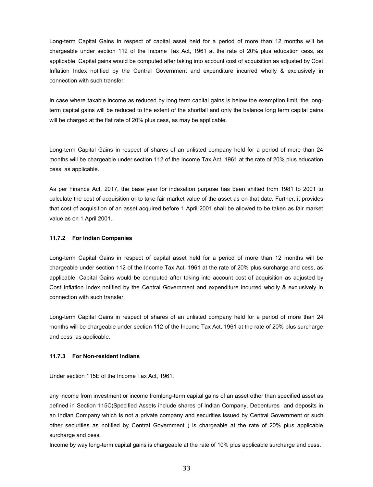Long-term Capital Gains in respect of capital asset held for a period of more than 12 months will be chargeable under section 112 of the Income Tax Act, 1961 at the rate of 20% plus education cess, as applicable. Capital gains would be computed after taking into account cost of acquisition as adjusted by Cost Inflation Index notified by the Central Government and expenditure incurred wholly & exclusively in connection with such transfer.

In case where taxable income as reduced by long term capital gains is below the exemption limit, the longterm capital gains will be reduced to the extent of the shortfall and only the balance long term capital gains will be charged at the flat rate of 20% plus cess, as may be applicable.

Long-term Capital Gains in respect of shares of an unlisted company held for a period of more than 24 months will be chargeable under section 112 of the Income Tax Act, 1961 at the rate of 20% plus education cess, as applicable.

As per Finance Act, 2017, the base year for indexation purpose has been shifted from 1981 to 2001 to calculate the cost of acquisition or to take fair market value of the asset as on that date. Further, it provides that cost of acquisition of an asset acquired before 1 April 2001 shall be allowed to be taken as fair market value as on 1 April 2001.

#### **11.7.2 For Indian Companies**

Long-term Capital Gains in respect of capital asset held for a period of more than 12 months will be chargeable under section 112 of the Income Tax Act, 1961 at the rate of 20% plus surcharge and cess, as applicable. Capital Gains would be computed after taking into account cost of acquisition as adjusted by Cost Inflation Index notified by the Central Government and expenditure incurred wholly & exclusively in connection with such transfer.

Long-term Capital Gains in respect of shares of an unlisted company held for a period of more than 24 months will be chargeable under section 112 of the Income Tax Act, 1961 at the rate of 20% plus surcharge and cess, as applicable.

#### **11.7.3 For Non-resident Indians**

Under section 115E of the Income Tax Act, 1961,

any income from investment or income fromlong-term capital gains of an asset other than specified asset as defined in Section 115C(Specified Assets include shares of Indian Company, Debentures and deposits in an Indian Company which is not a private company and securities issued by Central Government or such other securities as notified by Central Government ) is chargeable at the rate of 20% plus applicable surcharge and cess.

Income by way long-term capital gains is chargeable at the rate of 10% plus applicable surcharge and cess.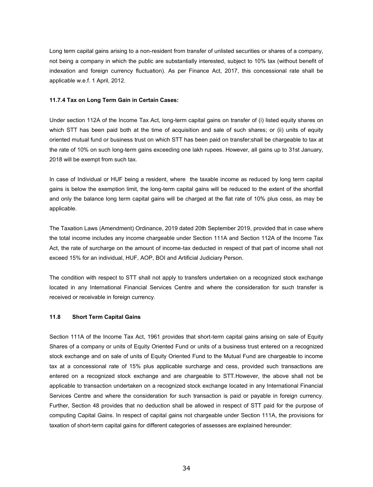Long term capital gains arising to a non-resident from transfer of unlisted securities or shares of a company, not being a company in which the public are substantially interested, subject to 10% tax (without benefit of indexation and foreign currency fluctuation). As per Finance Act, 2017, this concessional rate shall be applicable w.e.f. 1 April, 2012.

#### **11.7.4 Tax on Long Term Gain in Certain Cases:**

Under section 112A of the Income Tax Act, long-term capital gains on transfer of (i) listed equity shares on which STT has been paid both at the time of acquisition and sale of such shares; or (ii) units of equity oriented mutual fund or business trust on which STT has been paid on transfer;shall be chargeable to tax at the rate of 10% on such long-term gains exceeding one lakh rupees. However, all gains up to 31st January, 2018 will be exempt from such tax.

In case of Individual or HUF being a resident, where the taxable income as reduced by long term capital gains is below the exemption limit, the long-term capital gains will be reduced to the extent of the shortfall and only the balance long term capital gains will be charged at the flat rate of 10% plus cess, as may be applicable.

The Taxation Laws (Amendment) Ordinance, 2019 dated 20th September 2019, provided that in case where the total income includes any income chargeable under Section 111A and Section 112A of the Income Tax Act, the rate of surcharge on the amount of income-tax deducted in respect of that part of income shall not exceed 15% for an individual, HUF, AOP, BOI and Artificial Judiciary Person.

The condition with respect to STT shall not apply to transfers undertaken on a recognized stock exchange located in any International Financial Services Centre and where the consideration for such transfer is received or receivable in foreign currency.

#### **11.8 Short Term Capital Gains**

Section 111A of the Income Tax Act, 1961 provides that short-term capital gains arising on sale of Equity Shares of a company or units of Equity Oriented Fund or units of a business trust entered on a recognized stock exchange and on sale of units of Equity Oriented Fund to the Mutual Fund are chargeable to income tax at a concessional rate of 15% plus applicable surcharge and cess, provided such transactions are entered on a recognized stock exchange and are chargeable to STT.However, the above shall not be applicable to transaction undertaken on a recognized stock exchange located in any International Financial Services Centre and where the consideration for such transaction is paid or payable in foreign currency. Further, Section 48 provides that no deduction shall be allowed in respect of STT paid for the purpose of computing Capital Gains. In respect of capital gains not chargeable under Section 111A, the provisions for taxation of short-term capital gains for different categories of assesses are explained hereunder: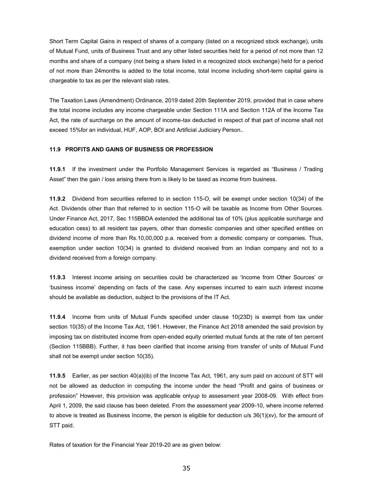Short Term Capital Gains in respect of shares of a company (listed on a recognized stock exchange), units of Mutual Fund, units of Business Trust and any other listed securities held for a period of not more than 12 months and share of a company (not being a share listed in a recognized stock exchange) held for a period of not more than 24months is added to the total income, total income including short-term capital gains is chargeable to tax as per the relevant slab rates.

The Taxation Laws (Amendment) Ordinance, 2019 dated 20th September 2019, provided that in case where the total income includes any income chargeable under Section 111A and Section 112A of the Income Tax Act, the rate of surcharge on the amount of income-tax deducted in respect of that part of income shall not exceed 15%for an individual, HUF, AOP, BOI and Artificial Judiciary Person..

### **11.9 PROFITS AND GAINS OF BUSINESS OR PROFESSION**

**11.9.1** If the investment under the Portfolio Management Services is regarded as "Business / Trading Asset" then the gain / loss arising there from is likely to be taxed as income from business.

**11.9.2** Dividend from securities referred to in section 115-O, will be exempt under section 10(34) of the Act. Dividends other than that referred to in section 115-O will be taxable as Income from Other Sources. Under Finance Act, 2017, Sec 115BBDA extended the additional tax of 10% (plus applicable surcharge and education cess) to all resident tax payers, other than domestic companies and other specified entities on dividend income of more than Rs.10,00,000 p.a. received from a domestic company or companies. Thus, exemption under section 10(34) is granted to dividend received from an Indian company and not to a dividend received from a foreign company.

**11.9.3** Interest income arising on securities could be characterized as 'Income from Other Sources' or 'business income' depending on facts of the case. Any expenses incurred to earn such interest income should be available as deduction, subject to the provisions of the IT Act.

**11.9.4** Income from units of Mutual Funds specified under clause 10(23D) is exempt from tax under section 10(35) of the Income Tax Act, 1961. However, the Finance Act 2018 amended the said provision by imposing tax on distributed income from open-ended equity oriented mutual funds at the rate of ten percent (Section 115BBB). Further, it has been clarified that income arising from transfer of units of Mutual Fund shall not be exempt under section 10(35).

**11.9.5** Earlier, as per section 40(a)(ib) of the Income Tax Act, 1961, any sum paid on account of STT will not be allowed as deduction in computing the income under the head "Profit and gains of business or profession" However, this provision was applicable onlyup to assessment year 2008-09. With effect from April 1, 2009, the said clause has been deleted. From the assessment year 2009-10, where income referred to above is treated as Business Income, the person is eligible for deduction u/s 36(1)(xv), for the amount of STT paid.

Rates of taxation for the Financial Year 2019-20 are as given below: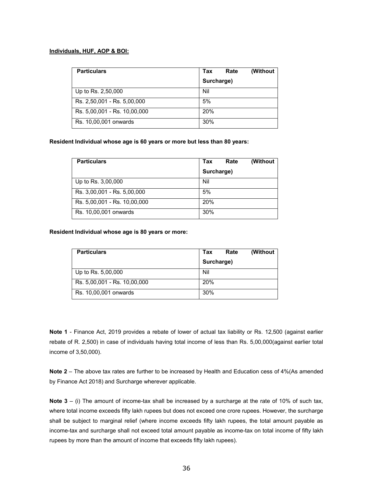#### **Individuals, HUF, AOP & BOI:**

| <b>Particulars</b>           | (Without<br>Rate<br>Tax |
|------------------------------|-------------------------|
|                              | Surcharge)              |
| Up to Rs. 2,50,000           | Nil                     |
| Rs. 2,50,001 - Rs. 5,00,000  | 5%                      |
| Rs. 5,00,001 - Rs. 10,00,000 | 20%                     |
| Rs. 10,00,001 onwards        | 30%                     |

**Resident Individual whose age is 60 years or more but less than 80 years:**

| <b>Particulars</b>           | (Without<br>Tax<br>Rate |
|------------------------------|-------------------------|
|                              | Surcharge)              |
| Up to Rs. 3,00,000           | Nil                     |
| Rs. 3,00,001 - Rs. 5,00,000  | 5%                      |
| Rs. 5,00,001 - Rs. 10,00,000 | 20%                     |
| Rs. 10,00,001 onwards        | 30%                     |

**Resident Individual whose age is 80 years or more:**

| <b>Particulars</b>           | Tax<br>Rate |  | (Without |
|------------------------------|-------------|--|----------|
|                              | Surcharge)  |  |          |
| Up to Rs. 5,00,000           | Nil         |  |          |
| Rs. 5,00,001 - Rs. 10,00,000 | 20%         |  |          |
| Rs. 10,00,001 onwards        | 30%         |  |          |

**Note 1** - Finance Act, 2019 provides a rebate of lower of actual tax liability or Rs. 12,500 (against earlier rebate of R. 2,500) in case of individuals having total income of less than Rs. 5,00,000(against earlier total income of 3,50,000).

**Note 2** – The above tax rates are further to be increased by Health and Education cess of 4%(As amended by Finance Act 2018) and Surcharge wherever applicable.

**Note 3** – (i) The amount of income-tax shall be increased by a surcharge at the rate of 10% of such tax, where total income exceeds fifty lakh rupees but does not exceed one crore rupees. However, the surcharge shall be subject to marginal relief (where income exceeds fifty lakh rupees, the total amount payable as income-tax and surcharge shall not exceed total amount payable as income-tax on total income of fifty lakh rupees by more than the amount of income that exceeds fifty lakh rupees).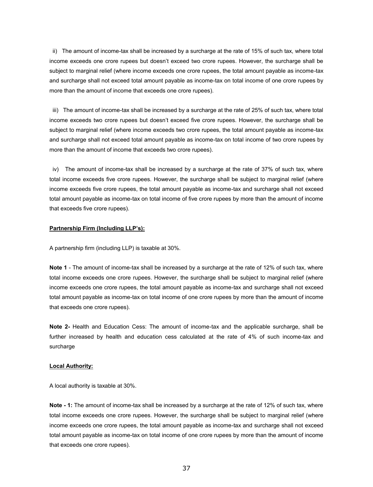ii) The amount of income-tax shall be increased by a surcharge at the rate of 15% of such tax, where total income exceeds one crore rupees but doesn't exceed two crore rupees. However, the surcharge shall be subject to marginal relief (where income exceeds one crore rupees, the total amount payable as income-tax and surcharge shall not exceed total amount payable as income-tax on total income of one crore rupees by more than the amount of income that exceeds one crore rupees).

iii) The amount of income-tax shall be increased by a surcharge at the rate of 25% of such tax, where total income exceeds two crore rupees but doesn't exceed five crore rupees. However, the surcharge shall be subject to marginal relief (where income exceeds two crore rupees, the total amount payable as income-tax and surcharge shall not exceed total amount payable as income-tax on total income of two crore rupees by more than the amount of income that exceeds two crore rupees).

iv) The amount of income-tax shall be increased by a surcharge at the rate of 37% of such tax, where total income exceeds five crore rupees. However, the surcharge shall be subject to marginal relief (where income exceeds five crore rupees, the total amount payable as income-tax and surcharge shall not exceed total amount payable as income-tax on total income of five crore rupees by more than the amount of income that exceeds five crore rupees).

#### **Partnership Firm (Including LLP's):**

A partnership firm (including LLP) is taxable at 30%.

**Note 1** - The amount of income-tax shall be increased by a surcharge at the rate of 12% of such tax, where total income exceeds one crore rupees. However, the surcharge shall be subject to marginal relief (where income exceeds one crore rupees, the total amount payable as income-tax and surcharge shall not exceed total amount payable as income-tax on total income of one crore rupees by more than the amount of income that exceeds one crore rupees).

**Note 2-** Health and Education Cess: The amount of income-tax and the applicable surcharge, shall be further increased by health and education cess calculated at the rate of 4% of such income-tax and surcharge

#### **Local Authority:**

A local authority is taxable at 30%.

**Note - 1:** The amount of income-tax shall be increased by a surcharge at the rate of 12% of such tax, where total income exceeds one crore rupees. However, the surcharge shall be subject to marginal relief (where income exceeds one crore rupees, the total amount payable as income-tax and surcharge shall not exceed total amount payable as income-tax on total income of one crore rupees by more than the amount of income that exceeds one crore rupees).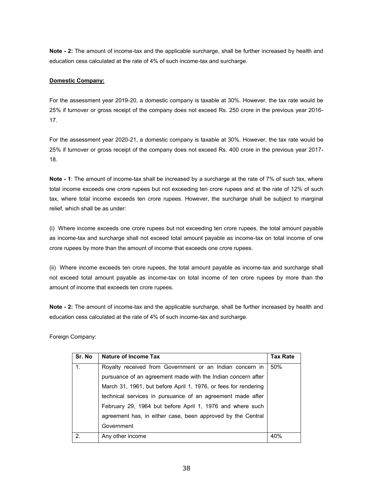**Note - 2:** The amount of income-tax and the applicable surcharge, shall be further increased by health and education cess calculated at the rate of 4% of such income-tax and surcharge.

## **Domestic Company:**

For the assessment year 2019-20, a domestic company is taxable at 30%. However, the tax rate would be 25% if turnover or gross receipt of the company does not exceed Rs. 250 crore in the previous year 2016- 17.

For the assessment year 2020-21, a domestic company is taxable at 30%. However, the tax rate would be 25% if turnover or gross receipt of the company does not exceed Rs. 400 crore in the previous year 2017- 18.

**Note - 1**: The amount of income-tax shall be increased by a surcharge at the rate of 7% of such tax, where total income exceeds one crore rupees but not exceeding ten crore rupees and at the rate of 12% of such tax, where total income exceeds ten crore rupees. However, the surcharge shall be subject to marginal relief, which shall be as under:

(i) Where income exceeds one crore rupees but not exceeding ten crore rupees, the total amount payable as income-tax and surcharge shall not exceed total amount payable as income-tax on total income of one crore rupees by more than the amount of income that exceeds one crore rupees.

(ii) Where income exceeds ten crore rupees, the total amount payable as income-tax and surcharge shall not exceed total amount payable as income-tax on total income of ten crore rupees by more than the amount of income that exceeds ten crore rupees.

**Note - 2:** The amount of income-tax and the applicable surcharge, shall be further increased by health and education cess calculated at the rate of 4% of such income-tax and surcharge.

Foreign Company:

| Sr. No | Nature of Income Tax                                            | <b>Tax Rate</b> |
|--------|-----------------------------------------------------------------|-----------------|
| 1.     | Royalty received from Government or an Indian concern in        | 50%             |
|        | pursuance of an agreement made with the Indian concern after    |                 |
|        | March 31, 1961, but before April 1, 1976, or fees for rendering |                 |
|        | technical services in pursuance of an agreement made after      |                 |
|        | February 29, 1964 but before April 1, 1976 and where such       |                 |
|        | agreement has, in either case, been approved by the Central     |                 |
|        | Government                                                      |                 |
| 2.     | Any other income                                                | 40%             |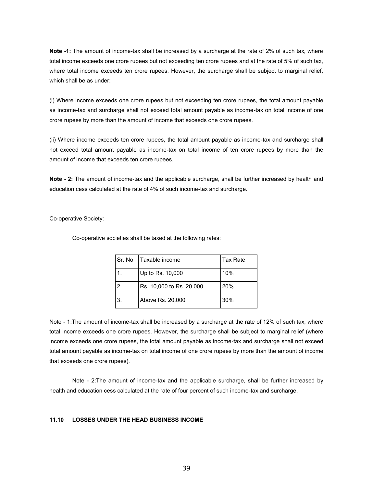**Note -1:** The amount of income-tax shall be increased by a surcharge at the rate of 2% of such tax, where total income exceeds one crore rupees but not exceeding ten crore rupees and at the rate of 5% of such tax, where total income exceeds ten crore rupees. However, the surcharge shall be subject to marginal relief, which shall be as under:

(i) Where income exceeds one crore rupees but not exceeding ten crore rupees, the total amount payable as income-tax and surcharge shall not exceed total amount payable as income-tax on total income of one crore rupees by more than the amount of income that exceeds one crore rupees.

(ii) Where income exceeds ten crore rupees, the total amount payable as income-tax and surcharge shall not exceed total amount payable as income-tax on total income of ten crore rupees by more than the amount of income that exceeds ten crore rupees.

**Note - 2:** The amount of income-tax and the applicable surcharge, shall be further increased by health and education cess calculated at the rate of 4% of such income-tax and surcharge.

Co-operative Society:

Co-operative societies shall be taxed at the following rates:

| Sr. No | Taxable income           | Tax Rate |
|--------|--------------------------|----------|
|        | Up to Rs. 10,000         | 10%      |
| 2      | Rs. 10,000 to Rs. 20,000 | 20%      |
| 3.     | Above Rs. 20,000         | 30%      |

Note - 1:The amount of income-tax shall be increased by a surcharge at the rate of 12% of such tax, where total income exceeds one crore rupees. However, the surcharge shall be subject to marginal relief (where income exceeds one crore rupees, the total amount payable as income-tax and surcharge shall not exceed total amount payable as income-tax on total income of one crore rupees by more than the amount of income that exceeds one crore rupees).

Note - 2:The amount of income-tax and the applicable surcharge, shall be further increased by health and education cess calculated at the rate of four percent of such income-tax and surcharge.

## **11.10 LOSSES UNDER THE HEAD BUSINESS INCOME**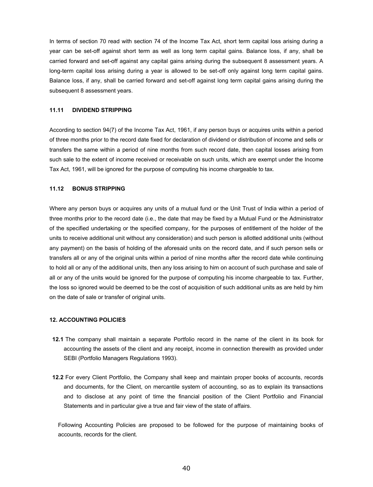In terms of section 70 read with section 74 of the Income Tax Act, short term capital loss arising during a year can be set-off against short term as well as long term capital gains. Balance loss, if any, shall be carried forward and set-off against any capital gains arising during the subsequent 8 assessment years. A long-term capital loss arising during a year is allowed to be set-off only against long term capital gains. Balance loss, if any, shall be carried forward and set-off against long term capital gains arising during the subsequent 8 assessment years.

#### **11.11 DIVIDEND STRIPPING**

According to section 94(7) of the Income Tax Act, 1961, if any person buys or acquires units within a period of three months prior to the record date fixed for declaration of dividend or distribution of income and sells or transfers the same within a period of nine months from such record date, then capital losses arising from such sale to the extent of income received or receivable on such units, which are exempt under the Income Tax Act, 1961, will be ignored for the purpose of computing his income chargeable to tax.

### **11.12 BONUS STRIPPING**

Where any person buys or acquires any units of a mutual fund or the Unit Trust of India within a period of three months prior to the record date (i.e., the date that may be fixed by a Mutual Fund or the Administrator of the specified undertaking or the specified company, for the purposes of entitlement of the holder of the units to receive additional unit without any consideration) and such person is allotted additional units (without any payment) on the basis of holding of the aforesaid units on the record date, and if such person sells or transfers all or any of the original units within a period of nine months after the record date while continuing to hold all or any of the additional units, then any loss arising to him on account of such purchase and sale of all or any of the units would be ignored for the purpose of computing his income chargeable to tax. Further, the loss so ignored would be deemed to be the cost of acquisition of such additional units as are held by him on the date of sale or transfer of original units.

#### **12. ACCOUNTING POLICIES**

- **12.1** The company shall maintain a separate Portfolio record in the name of the client in its book for accounting the assets of the client and any receipt, income in connection therewith as provided under SEBI (Portfolio Managers Regulations 1993).
- **12.2** For every Client Portfolio, the Company shall keep and maintain proper books of accounts, records and documents, for the Client, on mercantile system of accounting, so as to explain its transactions and to disclose at any point of time the financial position of the Client Portfolio and Financial Statements and in particular give a true and fair view of the state of affairs.

Following Accounting Policies are proposed to be followed for the purpose of maintaining books of accounts, records for the client.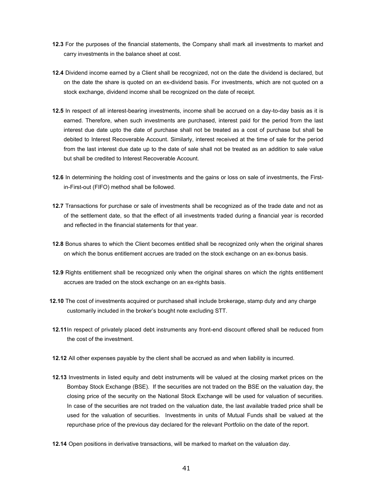- **12.3** For the purposes of the financial statements, the Company shall mark all investments to market and carry investments in the balance sheet at cost.
- **12.4** Dividend income earned by a Client shall be recognized, not on the date the dividend is declared, but on the date the share is quoted on an ex-dividend basis. For investments, which are not quoted on a stock exchange, dividend income shall be recognized on the date of receipt.
- **12.5** In respect of all interest-bearing investments, income shall be accrued on a day-to-day basis as it is earned. Therefore, when such investments are purchased, interest paid for the period from the last interest due date upto the date of purchase shall not be treated as a cost of purchase but shall be debited to Interest Recoverable Account. Similarly, interest received at the time of sale for the period from the last interest due date up to the date of sale shall not be treated as an addition to sale value but shall be credited to Interest Recoverable Account.
- **12.6** In determining the holding cost of investments and the gains or loss on sale of investments, the Firstin-First-out (FIFO) method shall be followed.
- **12.7** Transactions for purchase or sale of investments shall be recognized as of the trade date and not as of the settlement date, so that the effect of all investments traded during a financial year is recorded and reflected in the financial statements for that year.
- **12.8** Bonus shares to which the Client becomes entitled shall be recognized only when the original shares on which the bonus entitlement accrues are traded on the stock exchange on an ex-bonus basis.
- **12.9** Rights entitlement shall be recognized only when the original shares on which the rights entitlement accrues are traded on the stock exchange on an ex-rights basis.
- **12.10** The cost of investments acquired or purchased shall include brokerage, stamp duty and any charge customarily included in the broker's bought note excluding STT.
- **12.11**In respect of privately placed debt instruments any front-end discount offered shall be reduced from the cost of the investment.
- **12.12** All other expenses payable by the client shall be accrued as and when liability is incurred.
- **12.13** Investments in listed equity and debt instruments will be valued at the closing market prices on the Bombay Stock Exchange (BSE). If the securities are not traded on the BSE on the valuation day, the closing price of the security on the National Stock Exchange will be used for valuation of securities. In case of the securities are not traded on the valuation date, the last available traded price shall be used for the valuation of securities. Investments in units of Mutual Funds shall be valued at the repurchase price of the previous day declared for the relevant Portfolio on the date of the report.
- **12.14** Open positions in derivative transactions, will be marked to market on the valuation day.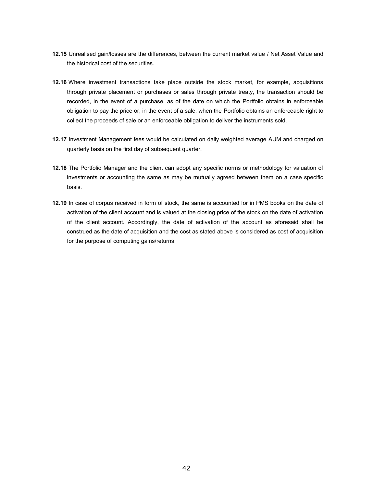- **12.15** Unrealised gain/losses are the differences, between the current market value / Net Asset Value and the historical cost of the securities.
- **12.16** Where investment transactions take place outside the stock market, for example, acquisitions through private placement or purchases or sales through private treaty, the transaction should be recorded, in the event of a purchase, as of the date on which the Portfolio obtains in enforceable obligation to pay the price or, in the event of a sale, when the Portfolio obtains an enforceable right to collect the proceeds of sale or an enforceable obligation to deliver the instruments sold.
- **12.17** Investment Management fees would be calculated on daily weighted average AUM and charged on quarterly basis on the first day of subsequent quarter.
- **12.18** The Portfolio Manager and the client can adopt any specific norms or methodology for valuation of investments or accounting the same as may be mutually agreed between them on a case specific basis.
- **12.19** In case of corpus received in form of stock, the same is accounted for in PMS books on the date of activation of the client account and is valued at the closing price of the stock on the date of activation of the client account. Accordingly, the date of activation of the account as aforesaid shall be construed as the date of acquisition and the cost as stated above is considered as cost of acquisition for the purpose of computing gains/returns.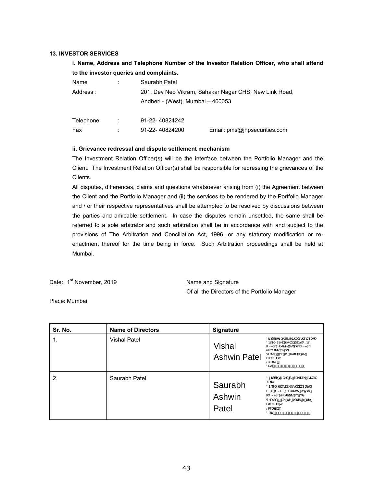#### **13. INVESTOR SERVICES**

## **i. Name, Address and Telephone Number of the Investor Relation Officer, who shall attend to the investor queries and complaints.**

| Name      |   | Saurabh Patel                                                                               |                              |
|-----------|---|---------------------------------------------------------------------------------------------|------------------------------|
| Address:  |   | 201, Dev Neo Vikram, Sahakar Nagar CHS, New Link Road,<br>Andheri - (West), Mumbai - 400053 |                              |
|           |   |                                                                                             |                              |
| Telephone | ÷ | 91-22-40824242                                                                              |                              |
| Fax       |   | 91-22-40824200                                                                              | Email: pms@jhpsecurities.com |

#### **ii. Grievance redressal and dispute settlement mechanism**

The Investment Relation Officer(s) will be the interface between the Portfolio Manager and the Client. The Investment Relation Officer(s) shall be responsible for redressing the grievances of the Clients.

All disputes, differences, claims and questions whatsoever arising from (i) the Agreement between the Client and the Portfolio Manager and (ii) the services to be rendered by the Portfolio Manager and / or their respective representatives shall be attempted to be resolved by discussions between the parties and amicable settlement. In case the disputes remain unsettled, the same shall be referred to a sole arbitrator and such arbitration shall be in accordance with and subject to the provisions of The Arbitration and Conciliation Act, 1996, or any statutory modification or reenactment thereof for the time being in force. Such Arbitration proceedings shall be held at Mumbai.

Date: 1<sup>st</sup> November, 2019

Name and Signature Of all the Directors of the Portfolio Manager

Place: Mumbai

| Sr. No. | <b>Name of Directors</b> | <b>Signature</b>              |                                                                                                                                                                                                                                                      |
|---------|--------------------------|-------------------------------|------------------------------------------------------------------------------------------------------------------------------------------------------------------------------------------------------------------------------------------------------|
|         | <b>Vishal Patel</b>      | Vishal<br><b>Ashwin Patel</b> | Öðfäæli Áðf) ^ á Áa ^ ÁKã @ebADE @ ã ÁÚærl<br>ÖÞ H&N MK a @eakDE @ a Á Jæ^   Á&MDA Á<br>í MRPÚÁĽ^&*¦ãa®∙ÁÚco/ŠcáÁ * MRPÚÁ<br>Ú^& lãa - Áucolisca<br>Ü^ær[}kkûbet Án@^Áeĕc@}¦Át-Án@okÁ<br>å[& { ^} c<br>Š[&æna[}KA<br>Öær KNOEO EREFEDI AFIKO E E KHE |
| 2.      | Saurabh Patel            | Saurabh<br>Ashwin<br>Patel    | Öðfärælj^Áðf}^åÁni^ÁJæi¦ænà@ÁDE@ al<br>Úær'<br>ÖÞKAS MÙæilæni@ÁDE@ ãÁÚær^lÁ<br>8MDÞÁ MRPÚÁÚ^& ¦ãã ∙ ÁJco/ŠcáÁ<br>í MRPÚÁJ^& ¦ãa?∙ÁÚço/Šcå<br>Ü^ær[}kkûbet Ác@^Áeĕc@!¦Át⊶Ác@áÁ<br>å[& { ^} c<br>Š[&ænā}kÁ<br>Öær KAREGEFERT ÁFIKT FEIKHE              |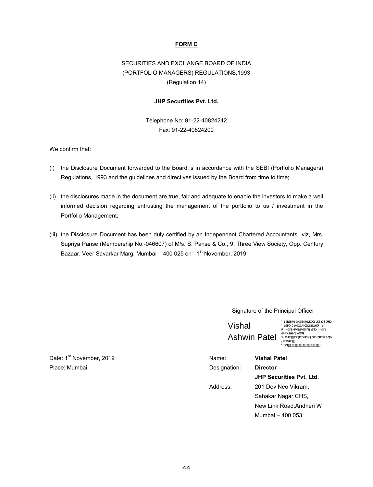## **FORM C**

## SECURITIES AND EXCHANGE BOARD OF INDIA (PORTFOLIO MANAGERS) REGULATIONS,1993 (Regulation 14)

## **JHP Securities Pvt. Ltd.**

Telephone No: 91-22-40824242 Fax: 91-22-40824200

We confirm that:

- (i) the Disclosure Document forwarded to the Board is in accordance with the SEBI (Portfolio Managers) Regulations, 1993 and the guidelines and directives issued by the Board from time to time;
- informed decision regarding entrusting the management of the portfolio to us / investment in the Portfolio Management; (ii) the disclosures made in the document are true, fair and adequate to enable the investors to make a well
- (iii) the Disclosure Document has been duly certified by an Independent Chartered Accountants viz, Mrs. Supriya Panse (Membership No.-046607) of M/s. S. Panse & Co., 9, Three View Society, Opp. Century Bazaar, Veer Savarkar Marg, Mumbai – 400 025 on 1<sup>st</sup> November, 2019

## Signature of the Principal Officer

Vishal

Ashwin Patel<br>Elither Steed in Kilomedia Allica \* Asa All & { ^} o<br>Oder MacQueller et al al na Eel ikke Öðläæs|'Áðl}^åÁs'ÁKã@epÁ0E@}ãjÁJæe^| ÖÞ KÁS) MXã @apkūE@ ãj ÁÚær^|ÁSMOP.<br>[MRPÚÁĽ^&`¦ãzN•ÁÚço4ŠcáÁ{`MRPÚ/<br>Ù^&`¦ãzN•ÁÚco4Šcá

| Date: 1 <sup>st</sup> November, 2019 | Name:        | <b>Vishal Patel</b>             |
|--------------------------------------|--------------|---------------------------------|
| Place: Mumbai                        | Designation: | <b>Director</b>                 |
|                                      |              | <b>JHP Securities Pvt. Ltd.</b> |
|                                      | Address:     | 201 Dev Neo Vikram,             |
|                                      |              | Sahakar Nagar CHS,              |
|                                      |              | New Link Road, Andheri W        |
|                                      |              | Mumbai - 400 053.               |